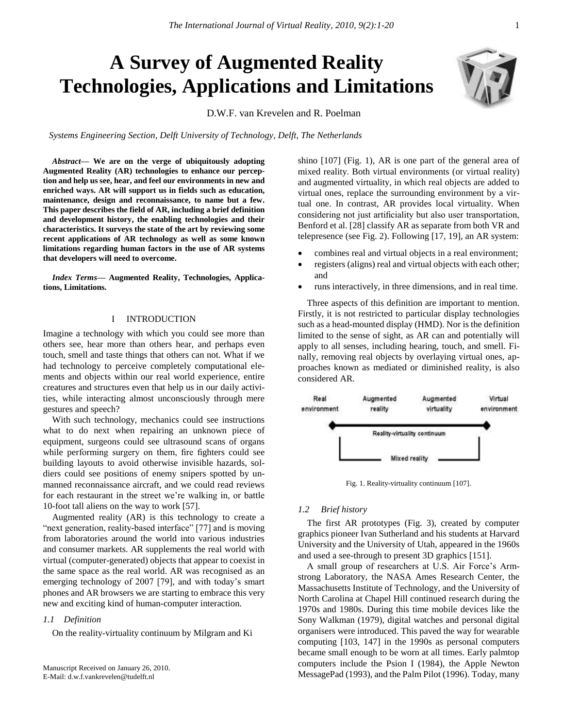# **A Survey of Augmented Reality Technologies, Applications and Limitations**

D.W.F. van Krevelen and R. Poelman

Systems Engineering Section, Delft University of Technology, Delft, The Netherlands

*Abstract***— We are on the verge of ubiquitously adopting Augmented Reality (AR) technologies to enhance our perception and help us see, hear, and feel our environments in new and enriched ways. AR will support us in fields such as education, maintenance, design and reconnaissance, to name but a few. This paper describes the field of AR, including a brief definition and development history, the enabling technologies and their characteristics. It surveys the state of the art by reviewing some recent applications of AR technology as well as some known limitations regarding human factors in the use of AR systems that developers will need to overcome.**

*Index Terms***— Augmented Reality, Technologies, Applications, Limitations.**

## I INTRODUCTION

Imagine a technology with which you could see more than others see, hear more than others hear, and perhaps even touch, smell and taste things that others can not. What if we had technology to perceive completely computational elements and objects within our real world experience, entire creatures and structures even that help us in our daily activities, while interacting almost unconsciously through mere gestures and speech?

With such technology, mechanics could see instructions what to do next when repairing an unknown piece of equipment, surgeons could see ultrasound scans of organs while performing surgery on them, fire fighters could see building layouts to avoid otherwise invisible hazards, soldiers could see positions of enemy snipers spotted by unmanned reconnaissance aircraft, and we could read reviews for each restaurant in the street we're walking in, or battle 10-foot tall aliens on the way to work [57].

Augmented reality (AR) is this technology to create a "next generation, reality-based interface" [77] and is moving from laboratories around the world into various industries and consumer markets. AR supplements the real world with virtual (computer-generated) objects that appear to coexist in the same space as the real world. AR was recognised as an emerging technology of 2007 [79], and with today's smart phones and AR browsers we are starting to embrace this very new and exciting kind of human-computer interaction.

## *1.1 Definition*

On the reality-virtuality continuum by Milgram and Ki

shino [107] (Fig. 1), AR is one part of the general area of mixed reality. Both virtual environments (or virtual reality) and augmented virtuality, in which real objects are added to virtual ones, replace the surrounding environment by a virtual one. In contrast, AR provides local virtuality. When considering not just artificiality but also user transportation, Benford et al. [28] classify AR as separate from both VR and telepresence (see Fig. 2). Following [17, 19], an AR system:

- combines real and virtual objects in a real environment;
- registers (aligns) real and virtual objects with each other; and
- runs interactively, in three dimensions, and in real time.

Three aspects of this definition are important to mention. Firstly, it is not restricted to particular display technologies such as a head-mounted display (HMD). Nor is the definition limited to the sense of sight, as AR can and potentially will apply to all senses, including hearing, touch, and smell. Finally, removing real objects by overlaying virtual ones, approaches known as mediated or diminished reality, is also considered AR.



Fig. 1. Reality-virtuality continuum [107].

## *1.2 Brief history*

The first AR prototypes (Fig. 3), created by computer graphics pioneer Ivan Sutherland and his students at Harvard University and the University of Utah, appeared in the 1960s and used a see-through to present 3D graphics [151].

A small group of researchers at U.S. Air Force"s Armstrong Laboratory, the NASA Ames Research Center, the Massachusetts Institute of Technology, and the University of North Carolina at Chapel Hill continued research during the 1970s and 1980s. During this time mobile devices like the Sony Walkman (1979), digital watches and personal digital organisers were introduced. This paved the way for wearable computing [103, 147] in the 1990s as personal computers became small enough to be worn at all times. Early palmtop computers include the Psion I (1984), the Apple Newton MessagePad (1993), and the Palm Pilot (1996). Today, many

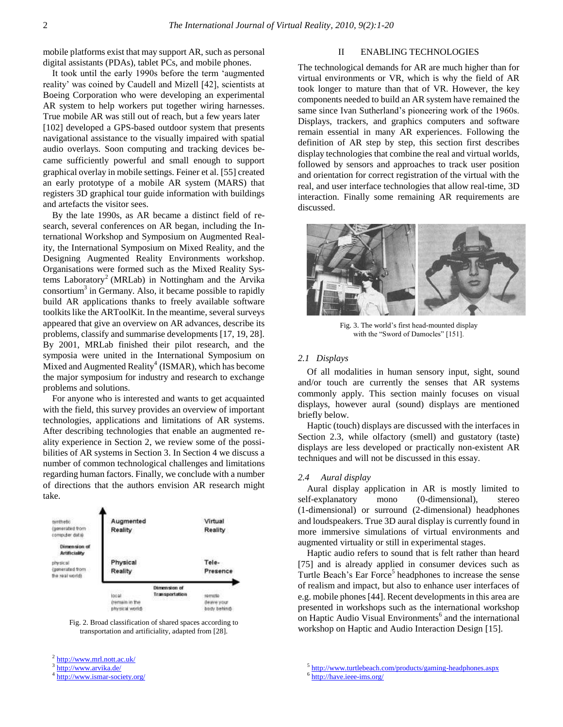mobile platforms exist that may support AR, such as personal digital assistants (PDAs), tablet PCs, and mobile phones.

It took until the early 1990s before the term "augmented reality' was coined by Caudell and Mizell [42], scientists at Boeing Corporation who were developing an experimental AR system to help workers put together wiring harnesses. True mobile AR was still out of reach, but a few years later [102] developed a GPS-based outdoor system that presents navigational assistance to the visually impaired with spatial audio overlays. Soon computing and tracking devices became sufficiently powerful and small enough to support graphical overlay in mobile settings. Feiner et al. [55] created an early prototype of a mobile AR system (MARS) that registers 3D graphical tour guide information with buildings and artefacts the visitor sees.

By the late 1990s, as AR became a distinct field of research, several conferences on AR began, including the International Workshop and Symposium on Augmented Reality, the International Symposium on Mixed Reality, and the Designing Augmented Reality Environments workshop. Organisations were formed such as the Mixed Reality Systems Laboratory<sup>2</sup> (MRLab) in Nottingham and the Arvika consortium<sup>3</sup> in Germany. Also, it became possible to rapidly build AR applications thanks to freely available software toolkits like the ARToolKit. In the meantime, several surveys appeared that give an overview on AR advances, describe its problems, classify and summarise developments [17, 19, 28]. By 2001, MRLab finished their pilot research, and the symposia were united in the International Symposium on Mixed and Augmented Reality<sup>4</sup> (ISMAR), which has become the major symposium for industry and research to exchange problems and solutions.

For anyone who is interested and wants to get acquainted with the field, this survey provides an overview of important technologies, applications and limitations of AR systems. After describing technologies that enable an augmented reality experience in Section 2, we review some of the possibilities of AR systems in Section 3. In Section 4 we discuss a number of common technological challenges and limitations regarding human factors. Finally, we conclude with a number of directions that the authors envision AR research might take.



Fig. 2. Broad classification of shared spaces according to transportation and artificiality, adapted from [28].

<sup>3</sup> <http://www.arvika.de/>

# II ENABLING TECHNOLOGIES

The technological demands for AR are much higher than for virtual environments or VR, which is why the field of AR took longer to mature than that of VR. However, the key components needed to build an AR system have remained the same since Ivan Sutherland's pioneering work of the 1960s. Displays, trackers, and graphics computers and software remain essential in many AR experiences. Following the definition of AR step by step, this section first describes display technologies that combine the real and virtual worlds, followed by sensors and approaches to track user position and orientation for correct registration of the virtual with the real, and user interface technologies that allow real-time, 3D interaction. Finally some remaining AR requirements are discussed.



Fig. 3. The world"s first head-mounted display with the "Sword of Damocles" [151].

# *2.1 Displays*

Of all modalities in human sensory input, sight, sound and/or touch are currently the senses that AR systems commonly apply. This section mainly focuses on visual displays, however aural (sound) displays are mentioned briefly below.

Haptic (touch) displays are discussed with the interfaces in Section 2.3, while olfactory (smell) and gustatory (taste) displays are less developed or practically non-existent AR techniques and will not be discussed in this essay.

#### *2.4 Aural display*

Aural display application in AR is mostly limited to self-explanatory mono (0-dimensional), stereo (1-dimensional) or surround (2-dimensional) headphones and loudspeakers. True 3D aural display is currently found in more immersive simulations of virtual environments and augmented virtuality or still in experimental stages.

Haptic audio refers to sound that is felt rather than heard [75] and is already applied in consumer devices such as Turtle Beach's Ear Force<sup>5</sup> headphones to increase the sense of realism and impact, but also to enhance user interfaces of e.g. mobile phones [44]. Recent developments in this area are presented in workshops such as the international workshop on Haptic Audio Visual Environments<sup>6</sup> and the international workshop on Haptic and Audio Interaction Design [15].

<sup>6</sup> <http://have.ieee-ims.org/>

<sup>&</sup>lt;sup>2</sup> <http://www.mrl.nott.ac.uk/>

<sup>4</sup> <http://www.ismar-society.org/>

<sup>&</sup>lt;sup>5</sup> <http://www.turtlebeach.com/products/gaming-headphones.aspx>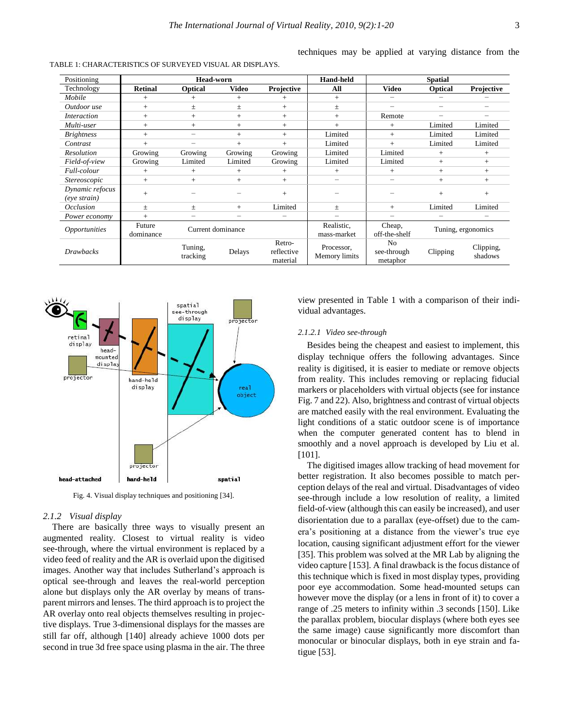| Positioning                     | <b>Head-worn</b>    |                     |                   |                                  | <b>Hand-held</b>            | <b>Spatial</b>                            |                    |                      |
|---------------------------------|---------------------|---------------------|-------------------|----------------------------------|-----------------------------|-------------------------------------------|--------------------|----------------------|
| Technology                      | <b>Retinal</b>      | <b>Optical</b>      | <b>Video</b>      | Projective                       | All                         | <b>Video</b>                              | <b>Optical</b>     | Projective           |
| Mobile                          | $+$                 | $+$                 | $+$               | $+$                              | $+$                         | -                                         | -                  |                      |
| Outdoor use                     | $^{+}$              | 土                   | 土                 | $+$                              | 土                           | -                                         | -                  | -                    |
| <i>Interaction</i>              | $+$                 | $+$                 | $+$               | $+$                              | $+$                         | Remote                                    | -                  |                      |
| Multi-user                      | $^{+}$              | $+$                 | $+$               | $+$                              | $+$                         | $^{+}$                                    | Limited            | Limited              |
| <b>Brightness</b>               | $^{+}$              |                     | $+$               | $+$                              | Limited                     | $^{+}$                                    | Limited            | Limited              |
| Contrast                        | $^{+}$              | -                   | $+$               | $+$                              | Limited                     | $^{+}$                                    | Limited            | Limited              |
| Resolution                      | Growing             | Growing             | Growing           | Growing                          | Limited                     | Limited                                   | $^{+}$             | $+$                  |
| Field-of-view                   | Growing             | Limited             | Limited           | Growing                          | Limited                     | Limited                                   | $+$                | $+$                  |
| Full-colour                     | $+$                 | $+$                 | $+$               | $+$                              | $+$                         | $^{+}$                                    | $^{+}$             | $+$                  |
| <i>Stereoscopic</i>             | $^{+}$              | $+$                 | $+$               | $+$                              | $\overline{\phantom{m}}$    | -                                         | $+$                | $+$                  |
| Dynamic refocus<br>(eye strain) | $+$                 |                     |                   | $+$                              |                             |                                           | $+$                | $+$                  |
| <i>Occlusion</i>                | $\pm$               | 土                   | $+$               | Limited                          | 士                           | $^{+}$                                    | Limited            | Limited              |
| Power economy                   | $^{+}$              |                     | -                 |                                  |                             |                                           | -                  |                      |
| <i><b>Opportunities</b></i>     | Future<br>dominance |                     | Current dominance |                                  | Realistic,<br>mass-market   | Cheap.<br>off-the-shelf                   | Tuning, ergonomics |                      |
| <b>Drawbacks</b>                |                     | Tuning,<br>tracking | Delays            | Retro-<br>reflective<br>material | Processor,<br>Memory limits | N <sub>0</sub><br>see-through<br>metaphor | Clipping           | Clipping,<br>shadows |

TABLE 1: CHARACTERISTICS OF SURVEYED VISUAL AR DISPLAYS.

techniques may be applied at varying distance from the



Fig. 4. Visual display techniques and positioning [34].

# *2.1.2 Visual display*

There are basically three ways to visually present an augmented reality. Closest to virtual reality is video see-through, where the virtual environment is replaced by a video feed of reality and the AR is overlaid upon the digitised images. Another way that includes Sutherland"s approach is optical see-through and leaves the real-world perception alone but displays only the AR overlay by means of transparent mirrors and lenses. The third approach is to project the AR overlay onto real objects themselves resulting in projective displays. True 3-dimensional displays for the masses are still far off, although [140] already achieve 1000 dots per second in true 3d free space using plasma in the air. The three view presented in Table 1 with a comparison of their individual advantages.

# *2.1.2.1 Video see-through*

Besides being the cheapest and easiest to implement, this display technique offers the following advantages. Since reality is digitised, it is easier to mediate or remove objects from reality. This includes removing or replacing fiducial markers or placeholders with virtual objects (see for instance Fig. 7 and 22). Also, brightness and contrast of virtual objects are matched easily with the real environment. Evaluating the light conditions of a static outdoor scene is of importance when the computer generated content has to blend in smoothly and a novel approach is developed by Liu et al. [101].

The digitised images allow tracking of head movement for better registration. It also becomes possible to match perception delays of the real and virtual. Disadvantages of video see-through include a low resolution of reality, a limited field-of-view (although this can easily be increased), and user disorientation due to a parallax (eye-offset) due to the camera"s positioning at a distance from the viewer"s true eye location, causing significant adjustment effort for the viewer [35]. This problem was solved at the MR Lab by aligning the video capture [153]. A final drawback is the focus distance of this technique which is fixed in most display types, providing poor eye accommodation. Some head-mounted setups can however move the display (or a lens in front of it) to cover a range of .25 meters to infinity within .3 seconds [150]. Like the parallax problem, biocular displays (where both eyes see the same image) cause significantly more discomfort than monocular or binocular displays, both in eye strain and fatigue [53].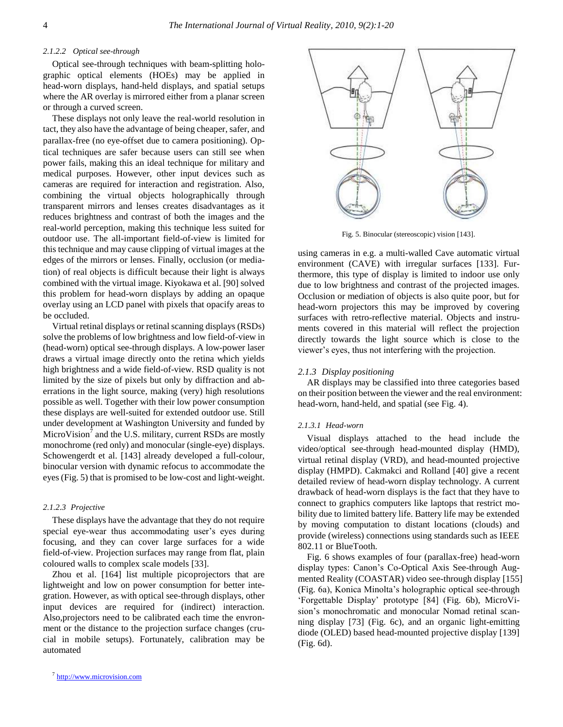# *2.1.2.2 Optical see-through*

Optical see-through techniques with beam-splitting holographic optical elements (HOEs) may be applied in head-worn displays, hand-held displays, and spatial setups where the AR overlay is mirrored either from a planar screen or through a curved screen.

These displays not only leave the real-world resolution in tact, they also have the advantage of being cheaper, safer, and parallax-free (no eye-offset due to camera positioning). Optical techniques are safer because users can still see when power fails, making this an ideal technique for military and medical purposes. However, other input devices such as cameras are required for interaction and registration. Also, combining the virtual objects holographically through transparent mirrors and lenses creates disadvantages as it reduces brightness and contrast of both the images and the real-world perception, making this technique less suited for outdoor use. The all-important field-of-view is limited for this technique and may cause clipping of virtual images at the edges of the mirrors or lenses. Finally, occlusion (or mediation) of real objects is difficult because their light is always combined with the virtual image. Kiyokawa et al. [90] solved this problem for head-worn displays by adding an opaque overlay using an LCD panel with pixels that opacify areas to be occluded.

Virtual retinal displays or retinal scanning displays (RSDs) solve the problems of low brightness and low field-of-view in (head-worn) optical see-through displays. A low-power laser draws a virtual image directly onto the retina which yields high brightness and a wide field-of-view. RSD quality is not limited by the size of pixels but only by diffraction and aberrations in the light source, making (very) high resolutions possible as well. Together with their low power consumption these displays are well-suited for extended outdoor use. Still under development at Washington University and funded by MicroVision<sup>7</sup> and the U.S. military, current RSDs are mostly monochrome (red only) and monocular (single-eye) displays. Schowengerdt et al. [143] already developed a full-colour, binocular version with dynamic refocus to accommodate the eyes (Fig. 5) that is promised to be low-cost and light-weight.

#### *2.1.2.3 Projective*

These displays have the advantage that they do not require special eye-wear thus accommodating user's eyes during focusing, and they can cover large surfaces for a wide field-of-view. Projection surfaces may range from flat, plain coloured walls to complex scale models [33].

Zhou et al. [164] list multiple picoprojectors that are lightweight and low on power consumption for better integration. However, as with optical see-through displays, other input devices are required for (indirect) interaction. Also,projectors need to be calibrated each time the envronment or the distance to the projection surface changes (crucial in mobile setups). Fortunately, calibration may be automated



Fig. 5. Binocular (stereoscopic) vision [143].

using cameras in e.g. a multi-walled Cave automatic virtual environment (CAVE) with irregular surfaces [133]. Furthermore, this type of display is limited to indoor use only due to low brightness and contrast of the projected images. Occlusion or mediation of objects is also quite poor, but for head-worn projectors this may be improved by covering surfaces with retro-reflective material. Objects and instruments covered in this material will reflect the projection directly towards the light source which is close to the viewer"s eyes, thus not interfering with the projection.

#### *2.1.3 Display positioning*

AR displays may be classified into three categories based on their position between the viewer and the real environment: head-worn, hand-held, and spatial (see Fig. 4).

#### *2.1.3.1 Head-worn*

Visual displays attached to the head include the video/optical see-through head-mounted display (HMD), virtual retinal display (VRD), and head-mounted projective display (HMPD). Cakmakci and Rolland [40] give a recent detailed review of head-worn display technology. A current drawback of head-worn displays is the fact that they have to connect to graphics computers like laptops that restrict mobility due to limited battery life. Battery life may be extended by moving computation to distant locations (clouds) and provide (wireless) connections using standards such as IEEE 802.11 or BlueTooth.

Fig. 6 shows examples of four (parallax-free) head-worn display types: Canon"s Co-Optical Axis See-through Augmented Reality (COASTAR) video see-through display [155] (Fig. 6a), Konica Minolta"s holographic optical see-through "Forgettable Display" prototype [84] (Fig. 6b), MicroVision"s monochromatic and monocular Nomad retinal scanning display [73] (Fig. 6c), and an organic light-emitting diode (OLED) based head-mounted projective display [139] (Fig. 6d).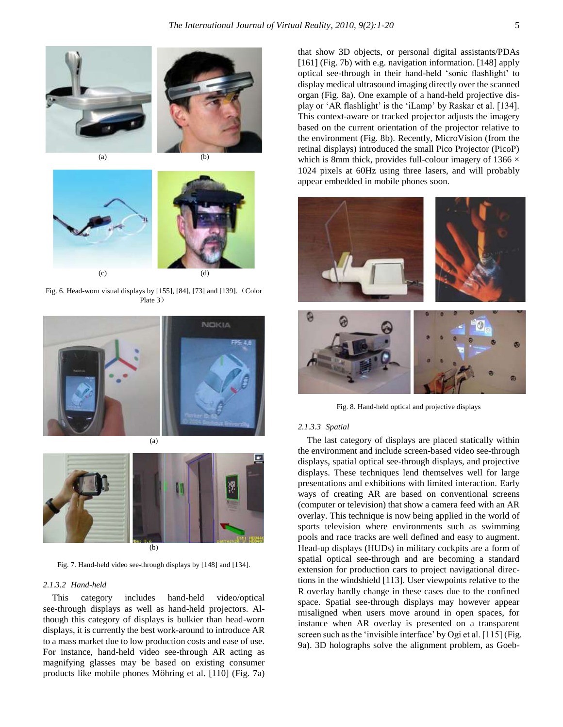





Fig. 6. Head-worn visual displays by [155], [84], [73] and [139].(Color Plate 3)



(a)



Fig. 7. Hand-held video see-through displays by [148] and [134].

## *2.1.3.2 Hand-held*

This category includes hand-held video/optical see-through displays as well as hand-held projectors. Although this category of displays is bulkier than head-worn displays, it is currently the best work-around to introduce AR to a mass market due to low production costs and ease of use. For instance, hand-held video see-through AR acting as magnifying glasses may be based on existing consumer products like mobile phones Möhring et al. [110] (Fig. 7a)

that show 3D objects, or personal digital assistants/PDAs [161] (Fig. 7b) with e.g. navigation information. [148] apply optical see-through in their hand-held "sonic flashlight" to display medical ultrasound imaging directly over the scanned organ (Fig. 8a). One example of a hand-held projective display or 'AR flashlight' is the 'iLamp' by Raskar et al. [134]. This context-aware or tracked projector adjusts the imagery based on the current orientation of the projector relative to the environment (Fig. 8b). Recently, MicroVision (from the retinal displays) introduced the small Pico Projector (PicoP) which is 8mm thick, provides full-colour imagery of 1366  $\times$ 1024 pixels at 60Hz using three lasers, and will probably appear embedded in mobile phones soon.



Fig. 8. Hand-held optical and projective displays

#### *2.1.3.3 Spatial*

The last category of displays are placed statically within the environment and include screen-based video see-through displays, spatial optical see-through displays, and projective displays. These techniques lend themselves well for large presentations and exhibitions with limited interaction. Early ways of creating AR are based on conventional screens (computer or television) that show a camera feed with an AR overlay. This technique is now being applied in the world of sports television where environments such as swimming pools and race tracks are well defined and easy to augment. Head-up displays (HUDs) in military cockpits are a form of spatial optical see-through and are becoming a standard extension for production cars to project navigational directions in the windshield [113]. User viewpoints relative to the R overlay hardly change in these cases due to the confined space. Spatial see-through displays may however appear misaligned when users move around in open spaces, for instance when AR overlay is presented on a transparent screen such as the 'invisible interface' by Ogi et al. [115] (Fig. 9a). 3D holographs solve the alignment problem, as Goeb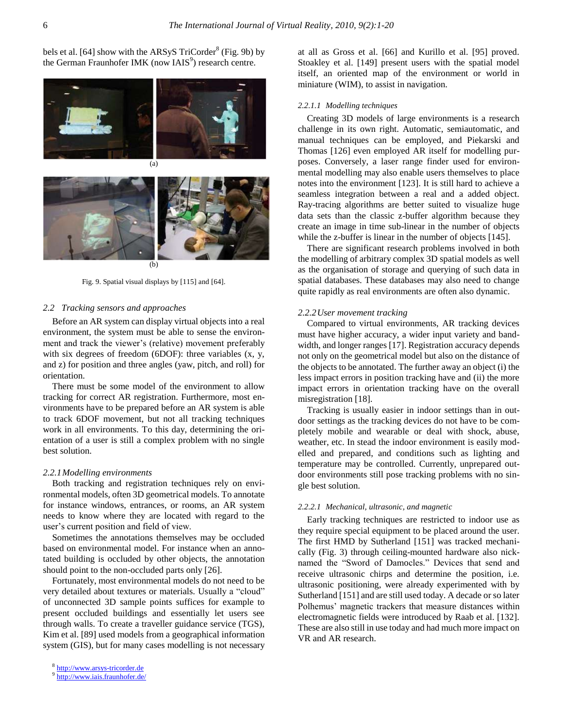bels et al. [64] show with the ARSyS  $TriCorder<sup>8</sup>$  (Fig. 9b) by the German Fraunhofer IMK (now IAIS<sup>9</sup>) research centre.



Fig. 9. Spatial visual displays by [115] and [64].

## *2.2 Tracking sensors and approaches*

Before an AR system can display virtual objects into a real environment, the system must be able to sense the environment and track the viewer's (relative) movement preferably with six degrees of freedom (6DOF): three variables (x, y, and z) for position and three angles (yaw, pitch, and roll) for orientation.

There must be some model of the environment to allow tracking for correct AR registration. Furthermore, most environments have to be prepared before an AR system is able to track 6DOF movement, but not all tracking techniques work in all environments. To this day, determining the orientation of a user is still a complex problem with no single best solution.

#### *2.2.1Modelling environments*

Both tracking and registration techniques rely on environmental models, often 3D geometrical models. To annotate for instance windows, entrances, or rooms, an AR system needs to know where they are located with regard to the user"s current position and field of view.

Sometimes the annotations themselves may be occluded based on environmental model. For instance when an annotated building is occluded by other objects, the annotation should point to the non-occluded parts only [26].

Fortunately, most environmental models do not need to be very detailed about textures or materials. Usually a "cloud" of unconnected 3D sample points suffices for example to present occluded buildings and essentially let users see through walls. To create a traveller guidance service (TGS), Kim et al. [89] used models from a geographical information system (GIS), but for many cases modelling is not necessary at all as Gross et al. [66] and Kurillo et al. [95] proved. Stoakley et al. [149] present users with the spatial model itself, an oriented map of the environment or world in miniature (WIM), to assist in navigation.

#### *2.2.1.1 Modelling techniques*

Creating 3D models of large environments is a research challenge in its own right. Automatic, semiautomatic, and manual techniques can be employed, and Piekarski and Thomas [126] even employed AR itself for modelling purposes. Conversely, a laser range finder used for environmental modelling may also enable users themselves to place notes into the environment [123]. It is still hard to achieve a seamless integration between a real and a added object. Ray-tracing algorithms are better suited to visualize huge data sets than the classic z-buffer algorithm because they create an image in time sub-linear in the number of objects while the z-buffer is linear in the number of objects [145].

There are significant research problems involved in both the modelling of arbitrary complex 3D spatial models as well as the organisation of storage and querying of such data in spatial databases. These databases may also need to change quite rapidly as real environments are often also dynamic.

## *2.2.2User movement tracking*

Compared to virtual environments, AR tracking devices must have higher accuracy, a wider input variety and bandwidth, and longer ranges [17]. Registration accuracy depends not only on the geometrical model but also on the distance of the objects to be annotated. The further away an object (i) the less impact errors in position tracking have and (ii) the more impact errors in orientation tracking have on the overall misregistration [18].

Tracking is usually easier in indoor settings than in outdoor settings as the tracking devices do not have to be completely mobile and wearable or deal with shock, abuse, weather, etc. In stead the indoor environment is easily modelled and prepared, and conditions such as lighting and temperature may be controlled. Currently, unprepared outdoor environments still pose tracking problems with no single best solution.

#### *2.2.2.1 Mechanical, ultrasonic, and magnetic*

Early tracking techniques are restricted to indoor use as they require special equipment to be placed around the user. The first HMD by Sutherland [151] was tracked mechanically (Fig. 3) through ceiling-mounted hardware also nicknamed the "Sword of Damocles." Devices that send and receive ultrasonic chirps and determine the position, i.e. ultrasonic positioning, were already experimented with by Sutherland [151] and are still used today. A decade or so later Polhemus' magnetic trackers that measure distances within electromagnetic fields were introduced by Raab et al. [132]. These are also still in use today and had much more impact on VR and AR research.

<sup>8</sup> [http://www.arsys-tricorder.de](http://www.arsys-tricorder.de/)

<sup>9</sup> <http://www.iais.fraunhofer.de/>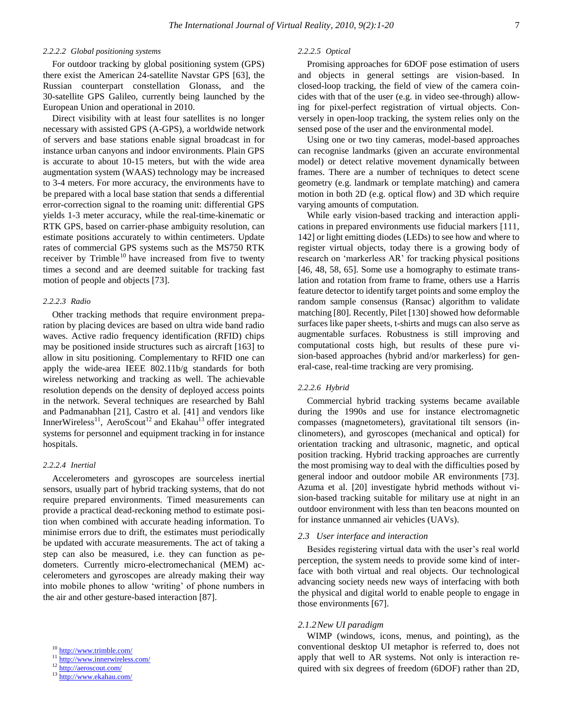## *2.2.2.2 Global positioning systems*

For outdoor tracking by global positioning system (GPS) there exist the American 24-satellite Navstar GPS [63], the Russian counterpart constellation Glonass, and the 30-satellite GPS Galileo, currently being launched by the European Union and operational in 2010.

Direct visibility with at least four satellites is no longer necessary with assisted GPS (A-GPS), a worldwide network of servers and base stations enable signal broadcast in for instance urban canyons and indoor environments. Plain GPS is accurate to about 10-15 meters, but with the wide area augmentation system (WAAS) technology may be increased to 3-4 meters. For more accuracy, the environments have to be prepared with a local base station that sends a differential error-correction signal to the roaming unit: differential GPS yields 1-3 meter accuracy, while the real-time-kinematic or RTK GPS, based on carrier-phase ambiguity resolution, can estimate positions accurately to within centimeters. Update rates of commercial GPS systems such as the MS750 RTK receiver by Trimble<sup>10</sup> have increased from five to twenty times a second and are deemed suitable for tracking fast motion of people and objects [73].

# *2.2.2.3 Radio*

Other tracking methods that require environment preparation by placing devices are based on ultra wide band radio waves. Active radio frequency identification (RFID) chips may be positioned inside structures such as aircraft [163] to allow in situ positioning. Complementary to RFID one can apply the wide-area IEEE 802.11b/g standards for both wireless networking and tracking as well. The achievable resolution depends on the density of deployed access points in the network. Several techniques are researched by Bahl and Padmanabhan [21], Castro et al. [41] and vendors like InnerWireless<sup>11</sup>, AeroScout<sup>12</sup> and Ekahau<sup>13</sup> offer integrated systems for personnel and equipment tracking in for instance hospitals.

## *2.2.2.4 Inertial*

Accelerometers and gyroscopes are sourceless inertial sensors, usually part of hybrid tracking systems, that do not require prepared environments. Timed measurements can provide a practical dead-reckoning method to estimate position when combined with accurate heading information. To minimise errors due to drift, the estimates must periodically be updated with accurate measurements. The act of taking a step can also be measured, i.e. they can function as pedometers. Currently micro-electromechanical (MEM) accelerometers and gyroscopes are already making their way into mobile phones to allow "writing" of phone numbers in the air and other gesture-based interaction [87].

<sup>13</sup> <http://www.ekahau.com/>

# *2.2.2.5 Optical*

Promising approaches for 6DOF pose estimation of users and objects in general settings are vision-based. In closed-loop tracking, the field of view of the camera coincides with that of the user (e.g. in video see-through) allowing for pixel-perfect registration of virtual objects. Conversely in open-loop tracking, the system relies only on the sensed pose of the user and the environmental model.

Using one or two tiny cameras, model-based approaches can recognise landmarks (given an accurate environmental model) or detect relative movement dynamically between frames. There are a number of techniques to detect scene geometry (e.g. landmark or template matching) and camera motion in both 2D (e.g. optical flow) and 3D which require varying amounts of computation.

While early vision-based tracking and interaction applications in prepared environments use fiducial markers [111, 142] or light emitting diodes (LEDs) to see how and where to register virtual objects, today there is a growing body of research on "markerless AR" for tracking physical positions [46, 48, 58, 65]. Some use a homography to estimate translation and rotation from frame to frame, others use a Harris feature detector to identify target points and some employ the random sample consensus (Ransac) algorithm to validate matching [80]. Recently, Pilet [130] showed how deformable surfaces like paper sheets, t-shirts and mugs can also serve as augmentable surfaces. Robustness is still improving and computational costs high, but results of these pure vision-based approaches (hybrid and/or markerless) for general-case, real-time tracking are very promising.

## *2.2.2.6 Hybrid*

Commercial hybrid tracking systems became available during the 1990s and use for instance electromagnetic compasses (magnetometers), gravitational tilt sensors (inclinometers), and gyroscopes (mechanical and optical) for orientation tracking and ultrasonic, magnetic, and optical position tracking. Hybrid tracking approaches are currently the most promising way to deal with the difficulties posed by general indoor and outdoor mobile AR environments [73]. Azuma et al. [20] investigate hybrid methods without vision-based tracking suitable for military use at night in an outdoor environment with less than ten beacons mounted on for instance unmanned air vehicles (UAVs).

## *2.3 User interface and interaction*

Besides registering virtual data with the user"s real world perception, the system needs to provide some kind of interface with both virtual and real objects. Our technological advancing society needs new ways of interfacing with both the physical and digital world to enable people to engage in those environments [67].

## *2.1.2New UI paradigm*

WIMP (windows, icons, menus, and pointing), as the conventional desktop UI metaphor is referred to, does not apply that well to AR systems. Not only is interaction required with six degrees of freedom (6DOF) rather than 2D,

<sup>10</sup> <http://www.trimble.com/>

<sup>11</sup> <http://www.innerwireless.com/>

<sup>12</sup> <http://aeroscout.com/>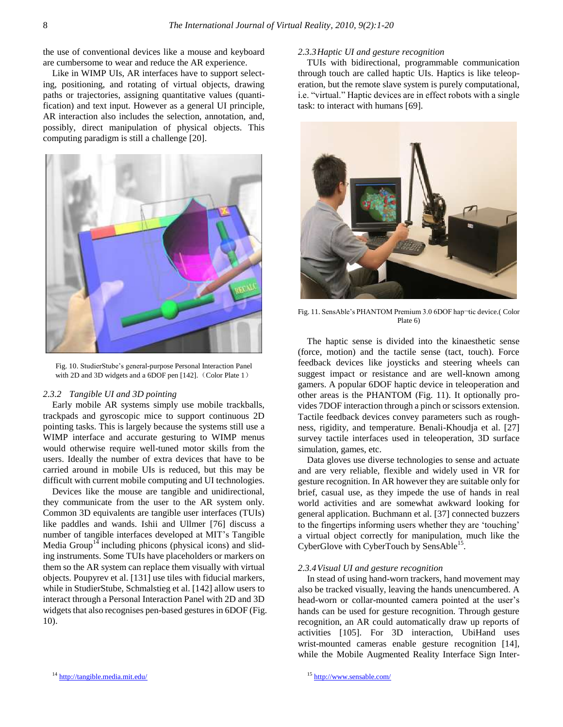the use of conventional devices like a mouse and keyboard are cumbersome to wear and reduce the AR experience.

Like in WIMP UIs, AR interfaces have to support selecting, positioning, and rotating of virtual objects, drawing paths or trajectories, assigning quantitative values (quantification) and text input. However as a general UI principle, AR interaction also includes the selection, annotation, and, possibly, direct manipulation of physical objects. This computing paradigm is still a challenge [20].



Fig. 10. StudierStube"s general-purpose Personal Interaction Panel with 2D and 3D widgets and a 6DOF pen [142]. (Color Plate 1)

#### *2.3.2 Tangible UI and 3D pointing*

Early mobile AR systems simply use mobile trackballs, trackpads and gyroscopic mice to support continuous 2D pointing tasks. This is largely because the systems still use a WIMP interface and accurate gesturing to WIMP menus would otherwise require well-tuned motor skills from the users. Ideally the number of extra devices that have to be carried around in mobile UIs is reduced, but this may be difficult with current mobile computing and UI technologies.

Devices like the mouse are tangible and unidirectional, they communicate from the user to the AR system only. Common 3D equivalents are tangible user interfaces (TUIs) like paddles and wands. Ishii and Ullmer [76] discuss a number of tangible interfaces developed at MIT"s Tangible Media Group<sup>14</sup> including phicons (physical icons) and sliding instruments. Some TUIs have placeholders or markers on them so the AR system can replace them visually with virtual objects. Poupyrev et al. [131] use tiles with fiducial markers, while in StudierStube, Schmalstieg et al. [142] allow users to interact through a Personal Interaction Panel with 2D and 3D widgets that also recognises pen-based gestures in 6DOF (Fig. 10).

## *2.3.3Haptic UI and gesture recognition*

TUIs with bidirectional, programmable communication through touch are called haptic UIs. Haptics is like teleoperation, but the remote slave system is purely computational, i.e. "virtual." Haptic devices are in effect robots with a single task: to interact with humans [69].



Fig. 11. SensAble's PHANTOM Premium 3.0 6DOF hap-tic device.( Color Plate 6)

The haptic sense is divided into the kinaesthetic sense (force, motion) and the tactile sense (tact, touch). Force feedback devices like joysticks and steering wheels can suggest impact or resistance and are well-known among gamers. A popular 6DOF haptic device in teleoperation and other areas is the PHANTOM (Fig. 11). It optionally provides 7DOF interaction through a pinch or scissors extension. Tactile feedback devices convey parameters such as roughness, rigidity, and temperature. Benali-Khoudja et al. [27] survey tactile interfaces used in teleoperation, 3D surface simulation, games, etc.

Data gloves use diverse technologies to sense and actuate and are very reliable, flexible and widely used in VR for gesture recognition. In AR however they are suitable only for brief, casual use, as they impede the use of hands in real world activities and are somewhat awkward looking for general application. Buchmann et al. [37] connected buzzers to the fingertips informing users whether they are "touching" a virtual object correctly for manipulation, much like the CyberGlove with CyberTouch by SensAble<sup>15</sup>.

#### *2.3.4Visual UI and gesture recognition*

In stead of using hand-worn trackers, hand movement may also be tracked visually, leaving the hands unencumbered. A head-worn or collar-mounted camera pointed at the user's hands can be used for gesture recognition. Through gesture recognition, an AR could automatically draw up reports of activities [105]. For 3D interaction, UbiHand uses wrist-mounted cameras enable gesture recognition [14], while the Mobile Augmented Reality Interface Sign Inter-

<sup>14</sup> <http://tangible.media.mit.edu/>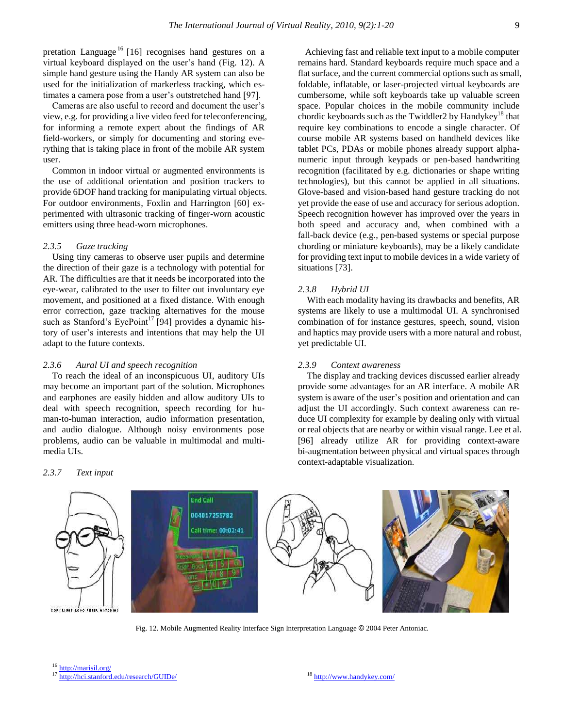pretation Language<sup>16</sup> [16] recognises hand gestures on a virtual keyboard displayed on the user"s hand (Fig. 12). A simple hand gesture using the Handy AR system can also be used for the initialization of markerless tracking, which estimates a camera pose from a user's outstretched hand [97].

Cameras are also useful to record and document the user"s view, e.g. for providing a live video feed for teleconferencing, for informing a remote expert about the findings of AR field-workers, or simply for documenting and storing everything that is taking place in front of the mobile AR system user.

Common in indoor virtual or augmented environments is the use of additional orientation and position trackers to provide 6DOF hand tracking for manipulating virtual objects. For outdoor environments, Foxlin and Harrington [60] experimented with ultrasonic tracking of finger-worn acoustic emitters using three head-worn microphones.

## *2.3.5 Gaze tracking*

Using tiny cameras to observe user pupils and determine the direction of their gaze is a technology with potential for AR. The difficulties are that it needs be incorporated into the eye-wear, calibrated to the user to filter out involuntary eye movement, and positioned at a fixed distance. With enough error correction, gaze tracking alternatives for the mouse such as Stanford's EyePoint<sup>17</sup> [94] provides a dynamic history of user"s interests and intentions that may help the UI adapt to the future contexts.

#### *2.3.6 Aural UI and speech recognition*

To reach the ideal of an inconspicuous UI, auditory UIs may become an important part of the solution. Microphones and earphones are easily hidden and allow auditory UIs to deal with speech recognition, speech recording for human-to-human interaction, audio information presentation, and audio dialogue. Although noisy environments pose problems, audio can be valuable in multimodal and multimedia UIs.

#### *2.3.7 Text input*

Achieving fast and reliable text input to a mobile computer remains hard. Standard keyboards require much space and a flat surface, and the current commercial options such as small, foldable, inflatable, or laser-projected virtual keyboards are cumbersome, while soft keyboards take up valuable screen space. Popular choices in the mobile community include chordic keyboards such as the Twiddler 2 by Handykey<sup>18</sup> that require key combinations to encode a single character. Of course mobile AR systems based on handheld devices like tablet PCs, PDAs or mobile phones already support alphanumeric input through keypads or pen-based handwriting recognition (facilitated by e.g. dictionaries or shape writing technologies), but this cannot be applied in all situations. Glove-based and vision-based hand gesture tracking do not yet provide the ease of use and accuracy for serious adoption. Speech recognition however has improved over the years in both speed and accuracy and, when combined with a fall-back device (e.g., pen-based systems or special purpose chording or miniature keyboards), may be a likely candidate for providing text input to mobile devices in a wide variety of situations [73].

## *2.3.8 Hybrid UI*

With each modality having its drawbacks and benefits, AR systems are likely to use a multimodal UI. A synchronised combination of for instance gestures, speech, sound, vision and haptics may provide users with a more natural and robust, yet predictable UI.

# *2.3.9 Context awareness*

The display and tracking devices discussed earlier already provide some advantages for an AR interface. A mobile AR system is aware of the user's position and orientation and can adjust the UI accordingly. Such context awareness can reduce UI complexity for example by dealing only with virtual or real objects that are nearby or within visual range. Lee et al. [96] already utilize AR for providing context-aware bi-augmentation between physical and virtual spaces through context-adaptable visualization.



Fig. 12. Mobile Augmented Reality Interface Sign Interpretation Language © 2004 Peter Antoniac.

<sup>16</sup> <http://marisil.org/>

<sup>17</sup> <http://hci.stanford.edu/research/GUIDe/>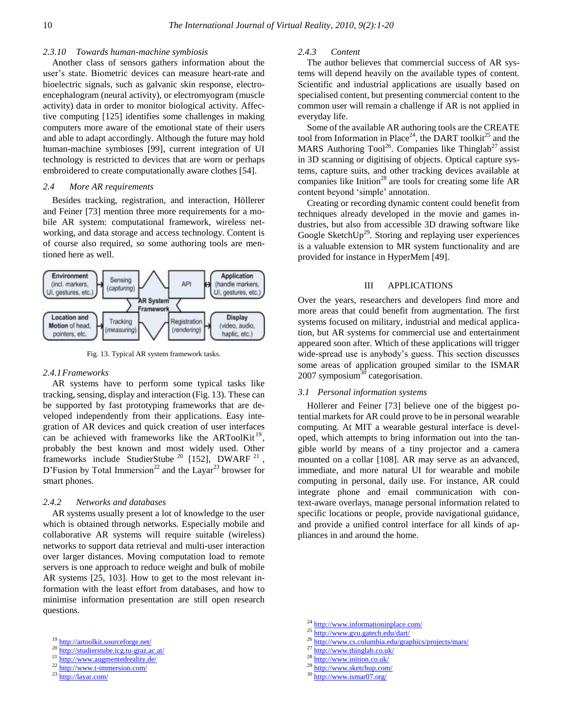## *2.3.10 Towards human-machine symbiosis*

Another class of sensors gathers information about the user's state. Biometric devices can measure heart-rate and bioelectric signals, such as galvanic skin response, electroencephalogram (neural activity), or electromyogram (muscle activity) data in order to monitor biological activity. Affective computing [125] identifies some challenges in making computers more aware of the emotional state of their users and able to adapt accordingly. Although the future may hold human-machine symbioses [99], current integration of UI technology is restricted to devices that are worn or perhaps embroidered to create computationally aware clothes [54].

# *2.4 More AR requirements*

Besides tracking, registration, and interaction, Höllerer and Feiner [73] mention three more requirements for a mobile AR system: computational framework, wireless networking, and data storage and access technology. Content is of course also required, so some authoring tools are mentioned here as well.



Fig. 13. Typical AR system framework tasks.

## *2.4.1Frameworks*

AR systems have to perform some typical tasks like tracking, sensing, display and interaction (Fig. 13). These can be supported by fast prototyping frameworks that are developed independently from their applications. Easy integration of AR devices and quick creation of user interfaces can be achieved with frameworks like the ARToolKit<sup>19</sup>, probably the best known and most widely used. Other frameworks include StudierStube<sup>20</sup> [152], DWARF<sup>21</sup>, D'Fusion by Total Immersion<sup>22</sup> and the Layar<sup>23</sup> browser for smart phones.

## *2.4.2 Networks and databases*

AR systems usually present a lot of knowledge to the user which is obtained through networks. Especially mobile and collaborative AR systems will require suitable (wireless) networks to support data retrieval and multi-user interaction over larger distances. Moving computation load to remote servers is one approach to reduce weight and bulk of mobile AR systems [25, 103]. How to get to the most relevant information with the least effort from databases, and how to minimise information presentation are still open research questions.

- <sup>19</sup> <http://artoolkit.sourceforge.net/>
- <sup>20</sup> <http://studierstube.icg.tu-graz.ac.at/>
- <sup>21</sup> <http://www.augmentedreality.de/>
- 22 <http://www.t-immersion.com/>
- <sup>23</sup> <http://layar.com/>

# *2.4.3 Content*

The author believes that commercial success of AR systems will depend heavily on the available types of content. Scientific and industrial applications are usually based on specialised content, but presenting commercial content to the common user will remain a challenge if AR is not applied in everyday life.

Some of the available AR authoring tools are the CREATE tool from Information in Place<sup>24</sup>, the DART toolkit<sup>25</sup> and the MARS Authoring Tool<sup>26</sup>. Companies like Thinglab<sup>27</sup> assist in 3D scanning or digitising of objects. Optical capture systems, capture suits, and other tracking devices available at companies like Inition<sup>28</sup> are tools for creating some life  $AR$ content beyond "simple" annotation.

Creating or recording dynamic content could benefit from techniques already developed in the movie and games industries, but also from accessible 3D drawing software like Google Sketch $Up^{29}$ . Storing and replaying user experiences is a valuable extension to MR system functionality and are provided for instance in HyperMem [49].

## III APPLICATIONS

Over the years, researchers and developers find more and more areas that could benefit from augmentation. The first systems focused on military, industrial and medical application, but AR systems for commercial use and entertainment appeared soon after. Which of these applications will trigger wide-spread use is anybody"s guess. This section discusses some areas of application grouped similar to the ISMAR  $2007$  symposium<sup>30</sup> categorisation.

# *3.1 Personal information systems*

Höllerer and Feiner [73] believe one of the biggest potential markets for AR could prove to be in personal wearable computing. At MIT a wearable gestural interface is developed, which attempts to bring information out into the tangible world by means of a tiny projector and a camera mounted on a collar [108]. AR may serve as an advanced, immediate, and more natural UI for wearable and mobile computing in personal, daily use. For instance, AR could integrate phone and email communication with context-aware overlays, manage personal information related to specific locations or people, provide navigational guidance, and provide a unified control interface for all kinds of appliances in and around the home.

- <sup>24</sup> <http://www.informationinplace.com/>
- <sup>25</sup> <http://www.gvu.gatech.edu/dart/>
- <sup>26</sup> <http://www.cs.columbia.edu/graphics/projects/mars/>
- $^{27}$  <http://www.thinglab.co.uk/>
- <sup>28</sup> <http://www.inition.co.uk/>
- 29 <http://www.sketchup.com/>
- <sup>30</sup> <http://www.ismar07.org/>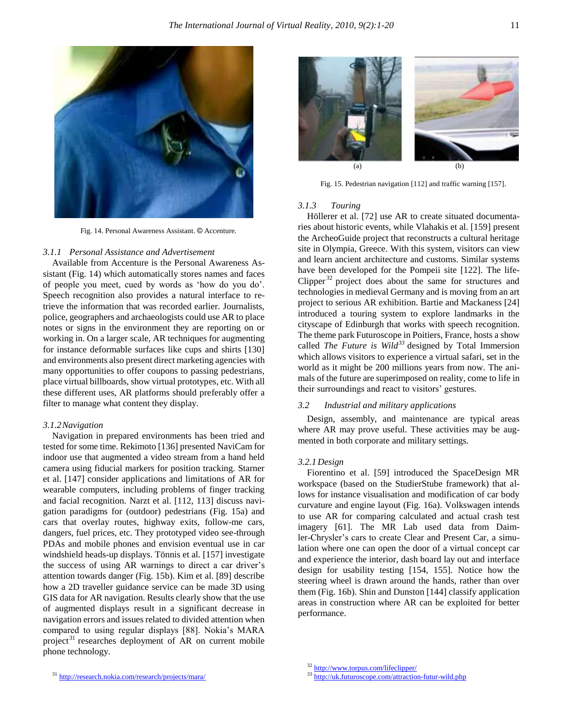

Fig. 14. Personal Awareness Assistant. © Accenture.

# *3.1.1 Personal Assistance and Advertisement*

Available from Accenture is the Personal Awareness Assistant (Fig. 14) which automatically stores names and faces of people you meet, cued by words as "how do you do". Speech recognition also provides a natural interface to retrieve the information that was recorded earlier. Journalists, police, geographers and archaeologists could use AR to place notes or signs in the environment they are reporting on or working in. On a larger scale, AR techniques for augmenting for instance deformable surfaces like cups and shirts [130] and environments also present direct marketing agencies with many opportunities to offer coupons to passing pedestrians, place virtual billboards, show virtual prototypes, etc. With all these different uses, AR platforms should preferably offer a filter to manage what content they display.

#### *3.1.2Navigation*

Navigation in prepared environments has been tried and tested for some time. Rekimoto [136] presented NaviCam for indoor use that augmented a video stream from a hand held camera using fiducial markers for position tracking. Starner et al. [147] consider applications and limitations of AR for wearable computers, including problems of finger tracking and facial recognition. Narzt et al. [112, 113] discuss navigation paradigms for (outdoor) pedestrians (Fig. 15a) and cars that overlay routes, highway exits, follow-me cars, dangers, fuel prices, etc. They prototyped video see-through PDAs and mobile phones and envision eventual use in car windshield heads-up displays. Tönnis et al. [157] investigate the success of using AR warnings to direct a car driver"s attention towards danger (Fig. 15b). Kim et al. [89] describe how a 2D traveller guidance service can be made 3D using GIS data for AR navigation. Results clearly show that the use of augmented displays result in a significant decrease in navigation errors and issues related to divided attention when compared to using regular displays [88]. Nokia"s MARA project<sup>31</sup> researches deployment of AR on current mobile phone technology.





Fig. 15. Pedestrian navigation [112] and traffic warning [157].

## *3.1.3 Touring*

Höllerer et al. [72] use AR to create situated documentaries about historic events, while Vlahakis et al. [159] present the ArcheoGuide project that reconstructs a cultural heritage site in Olympia, Greece. With this system, visitors can view and learn ancient architecture and customs. Similar systems have been developed for the Pompeii site [122]. The life-Clipper  $32$  project does about the same for structures and technologies in medieval Germany and is moving from an art project to serious AR exhibition. Bartie and Mackaness [24] introduced a touring system to explore landmarks in the cityscape of Edinburgh that works with speech recognition. The theme park Futuroscope in Poitiers, France, hosts a show called *The Future is Wild<sup>33</sup>* designed by Total Immersion which allows visitors to experience a virtual safari, set in the world as it might be 200 millions years from now. The animals of the future are superimposed on reality, come to life in their surroundings and react to visitors' gestures.

# *3.2 Industrial and military applications*

Design, assembly, and maintenance are typical areas where AR may prove useful. These activities may be augmented in both corporate and military settings.

#### *3.2.1 Design*

Fiorentino et al. [59] introduced the SpaceDesign MR workspace (based on the StudierStube framework) that allows for instance visualisation and modification of car body curvature and engine layout (Fig. 16a). Volkswagen intends to use AR for comparing calculated and actual crash test imagery [61]. The MR Lab used data from Daimler-Chrysler"s cars to create Clear and Present Car, a simulation where one can open the door of a virtual concept car and experience the interior, dash board lay out and interface design for usability testing [154, 155]. Notice how the steering wheel is drawn around the hands, rather than over them (Fig. 16b). Shin and Dunston [144] classify application areas in construction where AR can be exploited for better performance.

<sup>32</sup> <http://www.torpus.com/lifeclipper/>

<sup>&</sup>lt;sup>33</sup> <http://uk.futuroscope.com/attraction-futur-wild.php>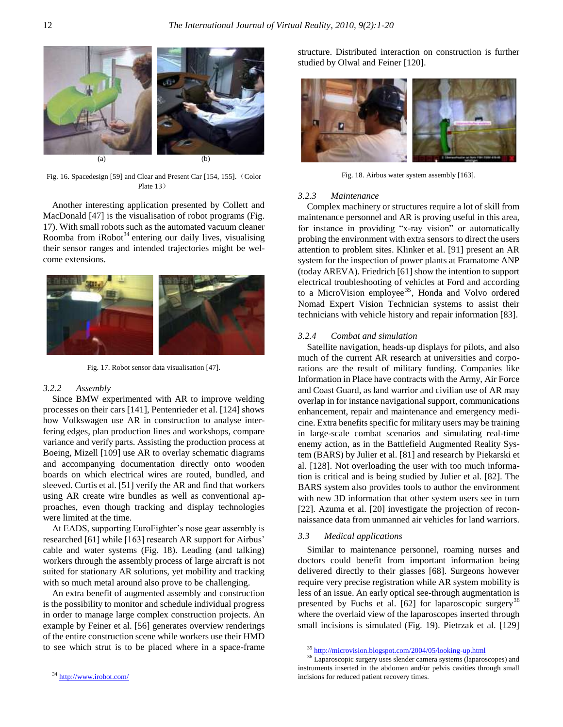

Fig. 16. Spacedesign [59] and Clear and Present Car [154, 155]. (Color Plate 13)

Another interesting application presented by Collett and MacDonald [47] is the visualisation of robot programs (Fig. 17). With small robots such as the automated vacuum cleaner Roomba from  $i$ Robot<sup>34</sup> entering our daily lives, visualising their sensor ranges and intended trajectories might be welcome extensions.



Fig. 17. Robot sensor data visualisation [47].

## *3.2.2 Assembly*

Since BMW experimented with AR to improve welding processes on their cars [141], Pentenrieder et al. [124] shows how Volkswagen use AR in construction to analyse interfering edges, plan production lines and workshops, compare variance and verify parts. Assisting the production process at Boeing, Mizell [109] use AR to overlay schematic diagrams and accompanying documentation directly onto wooden boards on which electrical wires are routed, bundled, and sleeved. Curtis et al. [51] verify the AR and find that workers using AR create wire bundles as well as conventional approaches, even though tracking and display technologies were limited at the time.

At EADS, supporting EuroFighter's nose gear assembly is researched [61] while [163] research AR support for Airbus' cable and water systems (Fig. 18). Leading (and talking) workers through the assembly process of large aircraft is not suited for stationary AR solutions, yet mobility and tracking with so much metal around also prove to be challenging.

An extra benefit of augmented assembly and construction is the possibility to monitor and schedule individual progress in order to manage large complex construction projects. An example by Feiner et al. [56] generates overview renderings of the entire construction scene while workers use their HMD to see which strut is to be placed where in a space-frame

structure. Distributed interaction on construction is further studied by Olwal and Feiner [120].



Fig. 18. Airbus water system assembly [163].

#### *3.2.3 Maintenance*

Complex machinery or structures require a lot of skill from maintenance personnel and AR is proving useful in this area, for instance in providing "x-ray vision" or automatically probing the environment with extra sensors to direct the users attention to problem sites. Klinker et al. [91] present an AR system for the inspection of power plants at Framatome ANP (today AREVA). Friedrich [61] show the intention to support electrical troubleshooting of vehicles at Ford and according to a MicroVision employee<sup>35</sup>, Honda and Volvo ordered Nomad Expert Vision Technician systems to assist their technicians with vehicle history and repair information [83].

#### *3.2.4 Combat and simulation*

Satellite navigation, heads-up displays for pilots, and also much of the current AR research at universities and corporations are the result of military funding. Companies like Information in Place have contracts with the Army, Air Force and Coast Guard, as land warrior and civilian use of AR may overlap in for instance navigational support, communications enhancement, repair and maintenance and emergency medicine. Extra benefits specific for military users may be training in large-scale combat scenarios and simulating real-time enemy action, as in the Battlefield Augmented Reality System (BARS) by Julier et al. [81] and research by Piekarski et al. [128]. Not overloading the user with too much information is critical and is being studied by Julier et al. [82]. The BARS system also provides tools to author the environment with new 3D information that other system users see in turn [22]. Azuma et al. [20] investigate the projection of reconnaissance data from unmanned air vehicles for land warriors.

# *3.3 Medical applications*

Similar to maintenance personnel, roaming nurses and doctors could benefit from important information being delivered directly to their glasses [68]. Surgeons however require very precise registration while AR system mobility is less of an issue. An early optical see-through augmentation is presented by Fuchs et al.  $[62]$  for laparoscopic surgery<sup>36</sup> where the overlaid view of the laparoscopes inserted through small incisions is simulated (Fig. 19). Pietrzak et al. [129]

<sup>35</sup> <http://microvision.blogspot.com/2004/05/looking-up.html>

<sup>&</sup>lt;sup>36</sup> Laparoscopic surgery uses slender camera systems (laparoscopes) and instruments inserted in the abdomen and/or pelvis cavities through small incisions for reduced patient recovery times.

<sup>34</sup> <http://www.irobot.com/>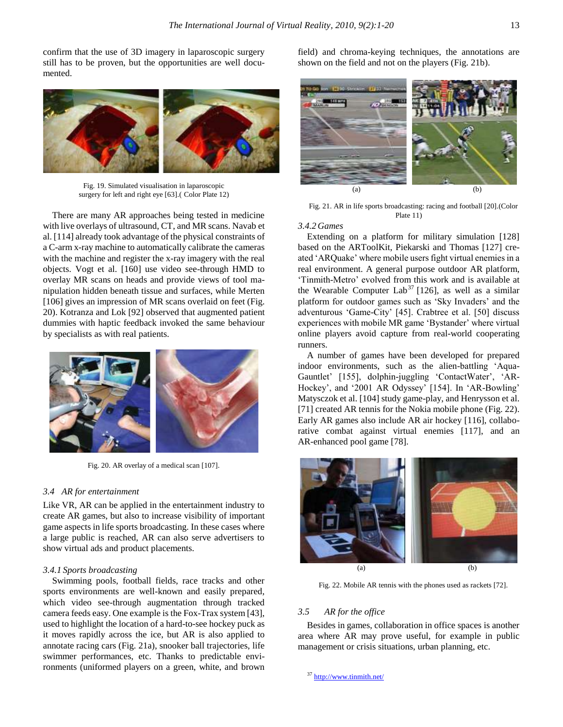confirm that the use of 3D imagery in laparoscopic surgery still has to be proven, but the opportunities are well documented.



Fig. 19. Simulated visualisation in laparoscopic surgery for left and right eye [63].( Color Plate 12)

There are many AR approaches being tested in medicine with live overlays of ultrasound, CT, and MR scans. Navab et al. [114] already took advantage of the physical constraints of a C-arm x-ray machine to automatically calibrate the cameras with the machine and register the x-ray imagery with the real objects. Vogt et al. [160] use video see-through HMD to overlay MR scans on heads and provide views of tool manipulation hidden beneath tissue and surfaces, while Merten [106] gives an impression of MR scans overlaid on feet (Fig. 20). Kotranza and Lok [92] observed that augmented patient dummies with haptic feedback invoked the same behaviour by specialists as with real patients.



Fig. 20. AR overlay of a medical scan [107].

## *3.4 AR for entertainment*

Like VR, AR can be applied in the entertainment industry to create AR games, but also to increase visibility of important game aspects in life sports broadcasting. In these cases where a large public is reached, AR can also serve advertisers to show virtual ads and product placements.

## *3.4.1 Sports broadcasting*

Swimming pools, football fields, race tracks and other sports environments are well-known and easily prepared, which video see-through augmentation through tracked camera feeds easy. One example is the Fox-Trax system [43], used to highlight the location of a hard-to-see hockey puck as it moves rapidly across the ice, but AR is also applied to annotate racing cars (Fig. 21a), snooker ball trajectories, life swimmer performances, etc. Thanks to predictable environments (uniformed players on a green, white, and brown field) and chroma-keying techniques, the annotations are shown on the field and not on the players (Fig. 21b).



Fig. 21. AR in life sports broadcasting: racing and football [20].(Color Plate 11)

## *3.4.2 Games*

Extending on a platform for military simulation [128] based on the ARToolKit, Piekarski and Thomas [127] created "ARQuake" where mobile users fight virtual enemies in a real environment. A general purpose outdoor AR platform, "Tinmith-Metro" evolved from this work and is available at the Wearable Computer Lab<sup>37</sup> [126], as well as a similar platform for outdoor games such as 'Sky Invaders' and the adventurous "Game-City" [45]. Crabtree et al. [50] discuss experiences with mobile MR game 'Bystander' where virtual online players avoid capture from real-world cooperating runners.

A number of games have been developed for prepared indoor environments, such as the alien-battling "Aqua-Gauntlet' [155], dolphin-juggling 'ContactWater', 'AR-Hockey', and '2001 AR Odyssey' [154]. In 'AR-Bowling' Matysczok et al. [104] study game-play, and Henrysson et al. [71] created AR tennis for the Nokia mobile phone (Fig. 22). Early AR games also include AR air hockey [116], collaborative combat against virtual enemies [117], and an AR-enhanced pool game [78].



Fig. 22. Mobile AR tennis with the phones used as rackets [72].

# *3.5 AR for the office*

Besides in games, collaboration in office spaces is another area where AR may prove useful, for example in public management or crisis situations, urban planning, etc.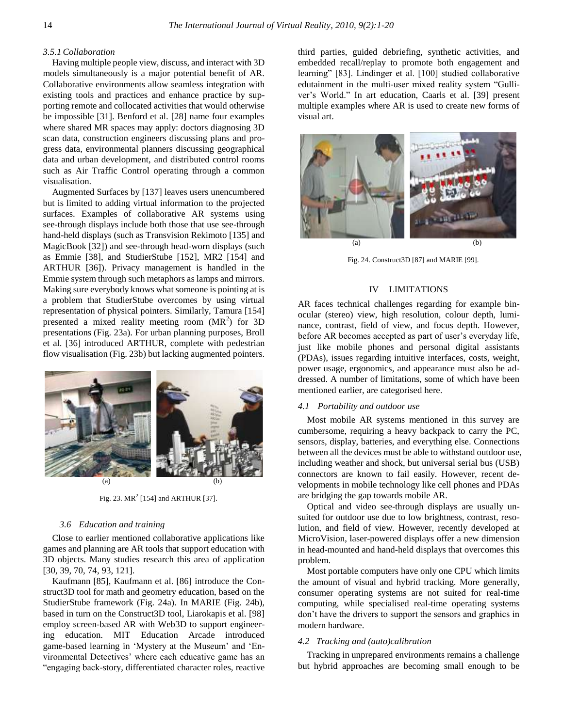# *3.5.1Collaboration*

Having multiple people view, discuss, and interact with 3D models simultaneously is a major potential benefit of AR. Collaborative environments allow seamless integration with existing tools and practices and enhance practice by supporting remote and collocated activities that would otherwise be impossible [31]. Benford et al. [28] name four examples where shared MR spaces may apply: doctors diagnosing 3D scan data, construction engineers discussing plans and progress data, environmental planners discussing geographical data and urban development, and distributed control rooms such as Air Traffic Control operating through a common visualisation.

Augmented Surfaces by [137] leaves users unencumbered but is limited to adding virtual information to the projected surfaces. Examples of collaborative AR systems using see-through displays include both those that use see-through hand-held displays (such as Transvision Rekimoto [135] and MagicBook [32]) and see-through head-worn displays (such as Emmie [38], and StudierStube [152], MR2 [154] and ARTHUR [36]). Privacy management is handled in the Emmie system through such metaphors as lamps and mirrors. Making sure everybody knows what someone is pointing at is a problem that StudierStube overcomes by using virtual representation of physical pointers. Similarly, Tamura [154] presented a mixed reality meeting room  $(MR<sup>2</sup>)$  for 3D presentations (Fig. 23a). For urban planning purposes, Broll et al. [36] introduced ARTHUR, complete with pedestrian flow visualisation (Fig. 23b) but lacking augmented pointers.



Fig. 23.  $MR^2$  [154] and ARTHUR [37].

# *3.6 Education and training*

Close to earlier mentioned collaborative applications like games and planning are AR tools that support education with 3D objects. Many studies research this area of application [30, 39, 70, 74, 93, 121].

Kaufmann [85], Kaufmann et al. [86] introduce the Construct3D tool for math and geometry education, based on the StudierStube framework (Fig. 24a). In MARIE (Fig. 24b), based in turn on the Construct3D tool, Liarokapis et al. [98] employ screen-based AR with Web3D to support engineering education. MIT Education Arcade introduced game-based learning in "Mystery at the Museum" and "Environmental Detectives" where each educative game has an "engaging back-story, differentiated character roles, reactive third parties, guided debriefing, synthetic activities, and embedded recall/replay to promote both engagement and learning" [83]. Lindinger et al. [100] studied collaborative edutainment in the multi-user mixed reality system "Gulliver"s World." In art education, Caarls et al. [39] present multiple examples where AR is used to create new forms of visual art.



Fig. 24. Construct3D [87] and MARIE [99].

# IV LIMITATIONS

AR faces technical challenges regarding for example binocular (stereo) view, high resolution, colour depth, luminance, contrast, field of view, and focus depth. However, before AR becomes accepted as part of user's everyday life, just like mobile phones and personal digital assistants (PDAs), issues regarding intuitive interfaces, costs, weight, power usage, ergonomics, and appearance must also be addressed. A number of limitations, some of which have been mentioned earlier, are categorised here.

## *4.1 Portability and outdoor use*

Most mobile AR systems mentioned in this survey are cumbersome, requiring a heavy backpack to carry the PC, sensors, display, batteries, and everything else. Connections between all the devices must be able to withstand outdoor use, including weather and shock, but universal serial bus (USB) connectors are known to fail easily. However, recent developments in mobile technology like cell phones and PDAs are bridging the gap towards mobile AR.

Optical and video see-through displays are usually unsuited for outdoor use due to low brightness, contrast, resolution, and field of view. However, recently developed at MicroVision, laser-powered displays offer a new dimension in head-mounted and hand-held displays that overcomes this problem.

Most portable computers have only one CPU which limits the amount of visual and hybrid tracking. More generally, consumer operating systems are not suited for real-time computing, while specialised real-time operating systems don"t have the drivers to support the sensors and graphics in modern hardware.

## *4.2 Tracking and (auto)calibration*

Tracking in unprepared environments remains a challenge but hybrid approaches are becoming small enough to be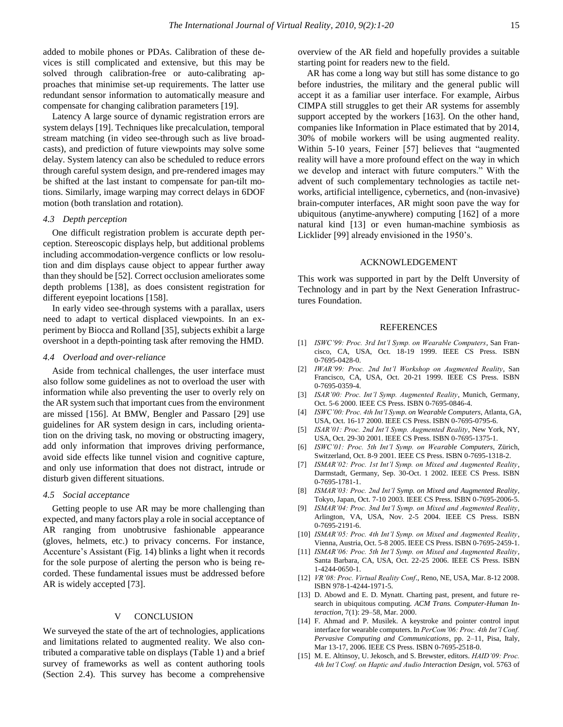added to mobile phones or PDAs. Calibration of these devices is still complicated and extensive, but this may be solved through calibration-free or auto-calibrating approaches that minimise set-up requirements. The latter use redundant sensor information to automatically measure and compensate for changing calibration parameters [19].

Latency A large source of dynamic registration errors are system delays [19]. Techniques like precalculation, temporal stream matching (in video see-through such as live broadcasts), and prediction of future viewpoints may solve some delay. System latency can also be scheduled to reduce errors through careful system design, and pre-rendered images may be shifted at the last instant to compensate for pan-tilt motions. Similarly, image warping may correct delays in 6DOF motion (both translation and rotation).

#### *4.3 Depth perception*

One difficult registration problem is accurate depth perception. Stereoscopic displays help, but additional problems including accommodation-vergence conflicts or low resolution and dim displays cause object to appear further away than they should be [52]. Correct occlusion ameliorates some depth problems [138], as does consistent registration for different eyepoint locations [158].

In early video see-through systems with a parallax, users need to adapt to vertical displaced viewpoints. In an experiment by Biocca and Rolland [35], subjects exhibit a large overshoot in a depth-pointing task after removing the HMD.

## *4.4 Overload and over-reliance*

Aside from technical challenges, the user interface must also follow some guidelines as not to overload the user with information while also preventing the user to overly rely on the AR system such that important cues from the environment are missed [156]. At BMW, Bengler and Passaro [29] use guidelines for AR system design in cars, including orientation on the driving task, no moving or obstructing imagery, add only information that improves driving performance, avoid side effects like tunnel vision and cognitive capture, and only use information that does not distract, intrude or disturb given different situations.

## *4.5 Social acceptance*

Getting people to use AR may be more challenging than expected, and many factors play a role in social acceptance of AR ranging from unobtrusive fashionable appearance (gloves, helmets, etc.) to privacy concerns. For instance, Accenture's Assistant (Fig. 14) blinks a light when it records for the sole purpose of alerting the person who is being recorded. These fundamental issues must be addressed before AR is widely accepted [73].

# V CONCLUSION

We surveyed the state of the art of technologies, applications and limitations related to augmented reality. We also contributed a comparative table on displays (Table 1) and a brief survey of frameworks as well as content authoring tools (Section 2.4). This survey has become a comprehensive

overview of the AR field and hopefully provides a suitable starting point for readers new to the field.

AR has come a long way but still has some distance to go before industries, the military and the general public will accept it as a familiar user interface. For example, Airbus CIMPA still struggles to get their AR systems for assembly support accepted by the workers [163]. On the other hand, companies like Information in Place estimated that by 2014, 30% of mobile workers will be using augmented reality. Within 5-10 years, Feiner [57] believes that "augmented reality will have a more profound effect on the way in which we develop and interact with future computers." With the advent of such complementary technologies as tactile networks, artificial intelligence, cybernetics, and (non-invasive) brain-computer interfaces, AR might soon pave the way for ubiquitous (anytime-anywhere) computing [162] of a more natural kind [13] or even human-machine symbiosis as Licklider [99] already envisioned in the 1950's.

# ACKNOWLEDGEMENT

This work was supported in part by the Delft Unversity of Technology and in part by the Next Generation Infrastructures Foundation.

#### REFERENCES

- [1] *ISWC'99: Proc. 3rd Int'l Symp. on Wearable Computers*, San Francisco, CA, USA, Oct. 18-19 1999. IEEE CS Press. ISBN 0-7695-0428-0.
- [2] *IWAR'99: Proc. 2nd Int'l Workshop on Augmented Reality*, San Francisco, CA, USA, Oct. 20-21 1999. IEEE CS Press. ISBN 0-7695-0359-4.
- [3] *ISAR'00: Proc. Int'l Symp. Augmented Reality*, Munich, Germany, Oct. 5-6 2000. IEEE CS Press. ISBN 0-7695-0846-4.
- [4] *ISWC'00: Proc. 4th Int'l Symp. on Wearable Computers*, Atlanta, GA, USA, Oct. 16-17 2000. IEEE CS Press. ISBN 0-7695-0795-6.
- [5] *ISAR'01: Proc. 2nd Int'l Symp. Augmented Reality*, New York, NY, USA, Oct. 29-30 2001. IEEE CS Press. ISBN 0-7695-1375-1.
- [6] *ISWC'01: Proc. 5th Int'l Symp. on Wearable Computers*, Zürich, Switzerland, Oct. 8-9 2001. IEEE CS Press. ISBN 0-7695-1318-2.
- [7] *ISMAR'02: Proc. 1st Int'l Symp. on Mixed and Augmented Reality*, Darmstadt, Germany, Sep. 30-Oct. 1 2002. IEEE CS Press. ISBN 0-7695-1781-1.
- [8] *ISMAR'03: Proc. 2nd Int'l Symp. on Mixed and Augmented Reality*, Tokyo, Japan, Oct. 7-10 2003. IEEE CS Press. ISBN 0-7695-2006-5.
- [9] *ISMAR'04: Proc. 3nd Int'l Symp. on Mixed and Augmented Reality*, Arlington, VA, USA, Nov. 2-5 2004. IEEE CS Press. ISBN 0-7695-2191-6.
- [10] *ISMAR'05: Proc. 4th Int'l Symp. on Mixed and Augmented Reality*, Vienna, Austria, Oct. 5-8 2005. IEEE CS Press. ISBN 0-7695-2459-1.
- [11] *ISMAR'06: Proc. 5th Int'l Symp. on Mixed and Augmented Reality*, Santa Barbara, CA, USA, Oct. 22-25 2006. IEEE CS Press. ISBN 1-4244-0650-1.
- [12] *VR'08: Proc. Virtual Reality Conf*., Reno, NE, USA, Mar. 8-12 2008. ISBN 978-1-4244-1971-5.
- [13] D. Abowd and E. D. Mynatt. Charting past, present, and future research in ubiquitous computing. *ACM Trans. Computer-Human Interaction*, 7(1): 29–58, Mar. 2000.
- [14] F. Ahmad and P. Musilek. A keystroke and pointer control input interface for wearable computers. In *PerCom'06: Proc. 4th Int'l Conf. Pervasive Computing and Communications*, pp. 2–11, Pisa, Italy, Mar 13-17, 2006. IEEE CS Press. ISBN 0-7695-2518-0.
- [15] M. E. Altinsoy, U. Jekosch, and S. Brewster, editors. *HAID'09: Proc. 4th Int'l Conf. on Haptic and Audio Interaction Design*, vol. 5763 of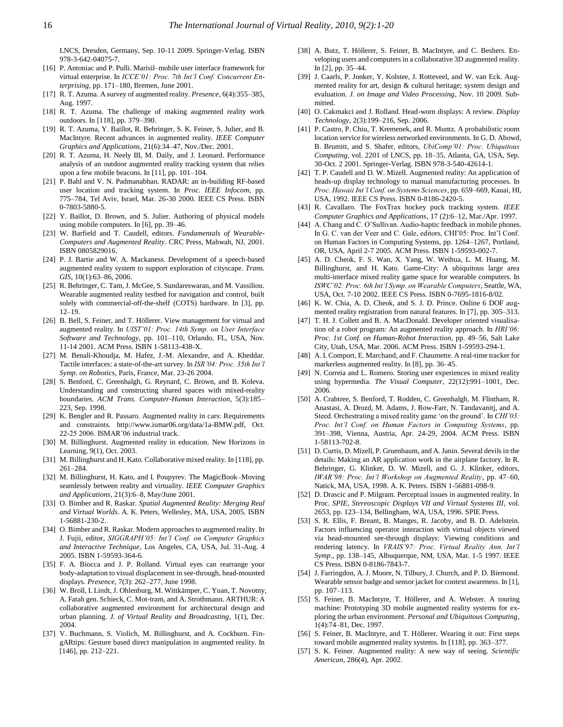LNCS, Dresden, Germany, Sep. 10-11 2009. Springer-Verlag. ISBN 978-3-642-04075-7.

- [16] P. Antoniac and P. Pulli. Marisil–mobile user interface framework for virtual enterprise. In *ICCE'01: Proc. 7th Int'l Conf. Concurrent Enterprising*, pp. 171–180, Bremen, June 2001.
- [17] R. T. Azuma. A survey of augmented reality. *Presence*, 6(4):355–385, Aug. 1997.
- [18] R. T. Azuma. The challenge of making augmented reality work outdoors. In [118], pp. 379–390.
- [19] R. T. Azuma, Y. Baillot, R. Behringer, S. K. Feiner, S. Julier, and B. MacIntyre. Recent advances in augmented reality. *IEEE Computer Graphics and Applications*, 21(6):34–47, Nov./Dec. 2001.
- [20] R. T. Azuma, H. Neely III, M. Daily, and J. Leonard. Performance analysis of an outdoor augmented reality tracking system that relies upon a few mobile beacons. In [11], pp. 101–104.
- [21] P. Bahl and V. N. Padmanabhan. RADAR: an in-building RF-based user location and tracking system. In *Proc. IEEE Infocom*, pp. 775–784, Tel Aviv, Israel, Mar. 26-30 2000. IEEE CS Press. ISBN 0-7803-5880-5.
- [22] Y. Baillot, D. Brown, and S. Julier. Authoring of physical models using mobile computers. In [6], pp. 39–46.
- [23] W. Barfield and T. Caudell, editors. *Fundamentals of Wearable-Computers and Augmented Reality*. CRC Press, Mahwah, NJ, 2001. ISBN 0805829016.
- [24] P. J. Bartie and W. A. Mackaness. Development of a speech-based augmented reality system to support exploration of cityscape. *Trans. GIS*, 10(1):63–86, 2006.
- [25] R. Behringer, C. Tam, J. McGee, S. Sundareswaran, and M. Vassiliou. Wearable augmented reality testbed for navigation and control, built solely with commercial-off-the-shelf (COTS) hardware. In [3], pp. 12–19.
- [26] B. Bell, S. Feiner, and T. Höllerer. View management for virtual and augmented reality. In *UIST'01: Proc. 14th Symp. on User Interface Software and Technology*, pp. 101–110, Orlando, FL, USA, Nov. 11-14 2001. ACM Press. ISBN 1-58113-438-X.
- [27] M. Benali-Khoudja, M. Hafez, J.-M. Alexandre, and A. Kheddar. Tactile interfaces: a state-of-the-art survey. In *ISR'04: Proc. 35th Int'l Symp. on Robotics*, Paris, France, Mar. 23-26 2004.
- [28] S. Benford, C. Greenhalgh, G. Reynard, C. Brown, and B. Koleva. Understanding and constructing shared spaces with mixed-reality boundaries. *ACM Trans. Computer-Human Interaction*, 5(3):185– 223, Sep. 1998.
- [29] K. Bengler and R. Passaro. Augmented reality in cars: Requirements and constraints. http://www.ismar06.org/data/1a-BMW.pdf, Oct. 22-25 2006. ISMAR"06 industrial track.
- [30] M. Billinghurst. Augmented reality in education. New Horizons in Learning, 9(1), Oct. 2003.
- [31] M. Billinghurst and H. Kato. Collaborative mixed reality. In [118], pp. 261–284.
- [32] M. Billinghurst, H. Kato, and I. Poupyrev. The MagicBook–Moving seamlessly between reality and virtuality. *IEEE Computer Graphics and Applications*, 21(3):6–8, May/June 2001.
- [33] O. Bimber and R. Raskar. *Spatial Augmented Reality: Merging Real and Virtual Worlds*. A. K. Peters, Wellesley, MA, USA, 2005. ISBN 1-56881-230-2.
- [34] O. Bimber and R. Raskar. Modern approaches to augmented reality. In J. Fujii, editor, *SIGGRAPH'05: Int'l Conf. on Computer Graphics and Interactive Technique*, Los Angeles, CA, USA, Jul. 31-Aug. 4 2005. ISBN 1-59593-364-6.
- [35] F. A. Biocca and J. P. Rolland. Virtual eyes can rearrange your body-adaptation to visual displacement in see-through, head-mounted displays. *Presence*, 7(3): 262–277, June 1998.
- [36] W. Broll, I. Lindt, J. Ohlenburg, M. Wittkämper, C. Yuan, T. Novotny, A. Fatah gen. Schieck, C. Mot-tram, and A. Strothmann. ARTHUR: A collaborative augmented environment for architectural design and urban planning. *J. of Virtual Reality and Broadcasting*, 1(1), Dec. 2004.
- [37] V. Buchmann, S. Violich, M. Billinghurst, and A. Cockburn. FingARtips: Gesture based direct manipulation in augmented reality. In [146], pp. 212–221.
- [38] A. Butz, T. Höllerer, S. Feiner, B. MacIntyre, and C. Beshers. Enveloping users and computers in a collaborative 3D augmented reality. In [2], pp. 35–44.
- [39] J. Caarls, P. Jonker, Y. Kolstee, J. Rotteveel, and W. van Eck. Augmented reality for art, design & cultural heritage; system design and evaluation*. J. on Image and Video Processing*, Nov. 10 2009. Submitted.
- [40] O. Cakmakci and J. Rolland. Head-worn displays: A review. *Display Technology*, 2(3):199–216, Sep. 2006.
- [41] P. Castro, P. Chiu, T. Kremenek, and R. Muntz. A probabilistic room location service for wireless networked environments. In G. D. Abowd, B. Brumitt, and S. Shafer, editors, *UbiComp'01: Proc. Ubiquitous Computing*, vol. 2201 of LNCS, pp. 18–35, Atlanta, GA, USA, Sep. 30-Oct. 2 2001. Springer-Verlag. ISBN 978-3-540-42614-1.
- [42] T. P. Caudell and D. W. Mizell. Augmented reality: An application of heads-up display technology to manual manufacturing processes. In *Proc. Hawaii Int'l Conf. on Systems Sciences*, pp. 659–669, Kauai, HI, USA, 1992. IEEE CS Press. ISBN 0-8186-2420-5.
- [43] R. Cavallaro. The FoxTrax hockey puck tracking system. *IEEE Computer Graphics and Applications*, 17 (2):6–12, Mar./Apr. 1997.
- [44] A. Chang and C. O'Sullivan. Audio-haptic feedback in mobile phones. In G. C. van der Veer and C. Gale, editors, CHI"05: Proc. Int"l Conf. on Human Factors in Computing Systems, pp. 1264–1267, Portland, OR, USA, April 2-7 2005. ACM Press. ISBN 1-59593-002-7.
- [45] A. D. Cheok, F. S. Wan, X. Yang, W. Weihua, L. M. Huang, M. Billinghurst, and H. Kato. Game-City: A ubiquitous large area multi-interface mixed reality game space for wearable computers. In *ISWC'02: Proc. 6th Int'l Symp. on Wearable Computers*, Seattle, WA, USA, Oct. 7-10 2002. IEEE CS Press. ISBN 0-7695-1816-8/02.
- [46] K. W. Chia, A. D. Cheok, and S. J. D. Prince. Online 6 DOF augmented reality registration from natural features. In [7], pp. 305–313.
- [47] T. H. J. Collett and B. A. MacDonald. Developer oriented visualisation of a robot program: An augmented reality approach. In *HRI'06: Proc. 1st Conf. on Human-Robot Interaction*, pp. 49–56, Salt Lake City, Utah, USA, Mar. 2006. ACM Press. ISBN 1-59593-294-1.
- [48] A. I. Comport, E. Marchand, and F. Chaumette. A real-time tracker for markerless augmented reality. In [8], pp. 36–45.
- [49] N. Correia and L. Romero. Storing user experiences in mixed reality using hypermedia. *The Visual Computer*, 22(12):991–1001, Dec. 2006.
- [50] A. Crabtree, S. Benford, T. Rodden, C. Greenhalgh, M. Flintham, R. Anastasi, A. Drozd, M. Adams, J. Row-Farr, N. Tandavanitj, and A. Steed. Orchestrating a mixed reality game "on the ground". In *CHI'03: Proc. Int'l Conf. on Human Factors in Computing Systems*, pp. 391–398, Vienna, Austria, Apr. 24-29, 2004. ACM Press. ISBN 1-58113-702-8.
- [51] D. Curtis, D. Mizell, P. Gruenbaum, and A. Janin. Several devils in the details: Making an AR application work in the airplane factory. In R. Behringer, G. Klinker, D. W. Mizell, and G. J. Klinker, editors, *IWAR'98: Proc. Int'l Workshop on Augmented Reality*, pp. 47–60, Natick, MA, USA, 1998. A. K. Peters. ISBN 1-56881-098-9.
- [52] D. Drascic and P. Milgram. Perceptual issues in augmented reality. In Proc. *SPIE, Stereoscopic Displays VII and Virtual Systems III*, vol. 2653, pp. 123–134, Bellingham, WA, USA, 1996. SPIE Press.
- [53] S. R. Ellis, F. Breant, B. Manges, R. Jacoby, and B. D. Adelstein. Factors influencing operator interaction with virtual objects viewed via head-mounted see-through displays: Viewing conditions and rendering latency. In *VRAIS'97: Proc. Virtual Reality Ann. Int'l Symp*., pp. 138–145, Albuquerque, NM, USA, Mar. 1-5 1997. IEEE CS Press. ISBN 0-8186-7843-7.
- [54] J. Farringdon, A. J. Moore, N. Tilbury, J. Church, and P. D. Biemond. Wearable sensor badge and sensor jacket for context awareness. In [1], pp. 107–113.
- [55] S. Feiner, B. MacIntyre, T. Höllerer, and A. Webster. A touring machine: Prototyping 3D mobile augmented reality systems for exploring the urban environment. *Personal and Ubiquitous Computing*, 1(4):74–81, Dec. 1997.
- [56] S. Feiner, B. MacIntyre, and T. Höllerer. Wearing it out: First steps toward mobile augmented reality systems. In [118], pp. 363–377.
- [57] S. K. Feiner. Augmented reality: A new way of seeing. *Scientific American*, 286(4), Apr. 2002.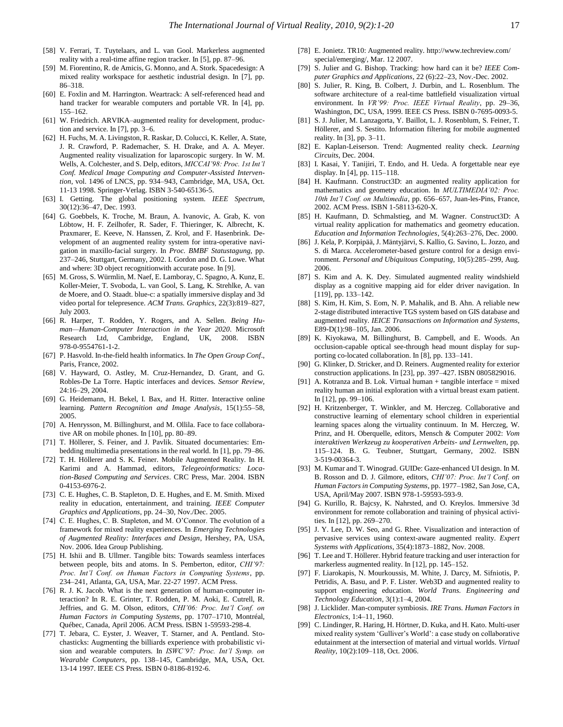- [58] V. Ferrari, T. Tuytelaars, and L. van Gool. Markerless augmented reality with a real-time affine region tracker. In [5], pp. 87–96.
- [59] M. Fiorentino, R. de Amicis, G. Monno, and A. Stork. Spacedesign: A mixed reality workspace for aesthetic industrial design. In [7], pp. 86–318.
- [60] E. Foxlin and M. Harrington. Weartrack: A self-referenced head and hand tracker for wearable computers and portable VR. In [4], pp. 155–162.
- [61] W. Friedrich. ARVIKA–augmented reality for development, production and service. In [7], pp. 3–6.
- [62] H. Fuchs, M. A. Livingston, R. Raskar, D. Colucci, K. Keller, A. State, J. R. Crawford, P. Rademacher, S. H. Drake, and A. A. Meyer. Augmented reality visualization for laparoscopic surgery. In W. M. Wells, A. Colchester, and S. Delp, editors, *MICCAI'98: Proc. 1st Int'l Conf. Medical Image Computing and Computer-Assisted Intervention*, vol. 1496 of LNCS, pp. 934–943, Cambridge, MA, USA, Oct. 11-13 1998. Springer-Verlag. ISBN 3-540-65136-5.
- [63] I. Getting. The global positioning system. *IEEE Spectrum*, 30(12):36–47, Dec. 1993.
- [64] G. Goebbels, K. Troche, M. Braun, A. Ivanovic, A. Grab, K. von Löbtow, H. F. Zeilhofer, R. Sader, F. Thieringer, K. Albrecht, K. Praxmarer, E. Keeve, N. Hanssen, Z. Krol, and F. Hasenbrink. Development of an augmented reality system for intra-operative navigation in maxillo-facial surgery. In *Proc. BMBF Statustagung*, pp. 237–246, Stuttgart, Germany, 2002. I. Gordon and D. G. Lowe. What and where: 3D object recognitionwith accurate pose. In [9].
- [65] M. Gross, S. Würmlin, M. Naef, E. Lamboray, C. Spagno, A. Kunz, E. Koller-Meier, T. Svoboda, L. van Gool, S. Lang, K. Strehlke, A. van de Moere, and O. Staadt. blue-c: a spatially immersive display and 3d video portal for telepresence. *ACM Trans. Graphics*, 22(3):819–827, July 2003.
- [66] R. Harper, T. Rodden, Y. Rogers, and A. Sellen. *Being Human—Human-Computer Interaction in the Year 2020*. Microsoft Research Ltd, Cambridge, England, UK, 2008. ISBN 978-0-9554761-1-2.
- [67] P. Hasvold. In-the-field health informatics. In *The Open Group Conf*., Paris, France, 2002.
- [68] V. Hayward, O. Astley, M. Cruz-Hernandez, D. Grant, and G. Robles-De La Torre. Haptic interfaces and devices. *Sensor Review*, 24:16–29, 2004.
- [69] G. Heidemann, H. Bekel, I. Bax, and H. Ritter. Interactive online learning. *Pattern Recognition and Image Analysis*, 15(1):55–58, 2005.
- [70] A. Henrysson, M. Billinghurst, and M. Ollila. Face to face collaborative AR on mobile phones. In [10], pp. 80–89.
- [71] T. Höllerer, S. Feiner, and J. Pavlik. Situated documentaries: Embedding multimedia presentations in the real world. In [1], pp. 79–86.
- [72] T. H. Höllerer and S. K. Feiner. Mobile Augmented Reality. In H. Karimi and A. Hammad, editors, *Telegeoinformatics: Location-Based Computing and Services*. CRC Press, Mar. 2004. ISBN 0-4153-6976-2.
- [73] C. E. Hughes, C. B. Stapleton, D. E. Hughes, and E. M. Smith. Mixed reality in education, entertainment, and training. *IEEE Computer Graphics and Applications*, pp. 24–30, Nov./Dec. 2005.
- [74] C. E. Hughes, C. B. Stapleton, and M. O'Connor. The evolution of a framework for mixed reality experiences. In *Emerging Technologies of Augmented Reality: Interfaces and Design*, Hershey, PA, USA, Nov. 2006. Idea Group Publishing.
- [75] H. Ishii and B. Ullmer. Tangible bits: Towards seamless interfaces between people, bits and atoms. In S. Pemberton, editor, *CHI'97: Proc. Int'l Conf. on Human Factors in Computing Systems*, pp. 234–241, Atlanta, GA, USA, Mar. 22-27 1997. ACM Press.
- [76] R. J. K. Jacob. What is the next generation of human-computer interaction? In R. E. Grinter, T. Rodden, P. M. Aoki, E. Cutrell, R. Jeffries, and G. M. Olson, editors, *CHI'06: Proc. Int'l Conf. on Human Factors in Computing Systems*, pp. 1707–1710, Montréal, Québec, Canada, April 2006. ACM Press. ISBN 1-59593-298-4.
- [77] T. Jebara, C. Eyster, J. Weaver, T. Starner, and A. Pentland. Stochasticks: Augmenting the billiards experience with probabilistic vision and wearable computers. In *ISWC'97: Proc. Int'l Symp. on Wearable Computers*, pp. 138–145, Cambridge, MA, USA, Oct. 13-14 1997. IEEE CS Press. ISBN 0-8186-8192-6.
- [78] E. Jonietz. TR10: Augmented reality. http://www.techreview.com/ special/emerging/, Mar. 12 2007.
- [79] S. Julier and G. Bishop. Tracking: how hard can it be? *IEEE Computer Graphics and Applications*, 22 (6):22–23, Nov.-Dec. 2002.
- [80] S. Julier, R. King, B. Colbert, J. Durbin, and L. Rosenblum. The software architecture of a real-time battlefield visualization virtual environment. In *VR'99: Proc. IEEE Virtual Reality*, pp. 29–36, Washington, DC, USA, 1999. IEEE CS Press. ISBN 0-7695-0093-5.
- [81] S. J. Julier, M. Lanzagorta, Y. Baillot, L. J. Rosenblum, S. Feiner, T. Höllerer, and S. Sestito. Information filtering for mobile augmented reality. In [3], pp. 3–11.
- [82] E. Kaplan-Leiserson. Trend: Augmented reality check. *Learning Circuits*, Dec. 2004.
- [83] I. Kasai, Y. Tanijiri, T. Endo, and H. Ueda. A forgettable near eye display. In [4], pp. 115–118.
- [84] H. Kaufmann. Construct3D: an augmented reality application for mathematics and geometry education. In *MULTIMEDIA'02: Proc. 10th Int'l Conf. on Multimedia*, pp. 656–657, Juan-les-Pins, France, 2002. ACM Press. ISBN 1-58113-620-X.
- [85] H. Kaufmann, D. Schmalstieg, and M. Wagner. Construct3D: A virtual reality application for mathematics and geometry education. *Education and Information Technologies*, 5(4):263–276, Dec. 2000.
- [86] J. Kela, P. Korpipää, J. Mäntyjärvi, S. Kallio, G. Savino, L. Jozzo, and S. di Marca. Accelerometer-based gesture control for a design environment. *Personal and Ubiquitous Computing*, 10(5):285–299, Aug. 2006.
- [87] S. Kim and A. K. Dey. Simulated augmented reality windshield display as a cognitive mapping aid for elder driver navigation. In [119], pp. 133-142.
- [88] S. Kim, H. Kim, S. Eom, N. P. Mahalik, and B. Ahn. A reliable new 2-stage distributed interactive TGS system based on GIS database and augmented reality. *IEICE Transactions on Information and Systems*, E89-D(1):98–105, Jan. 2006.
- [89] K. Kiyokawa, M. Billinghurst, B. Campbell, and E. Woods. An occlusion-capable optical see-through head mount display for supporting co-located collaboration. In [8], pp. 133–141.
- [90] G. Klinker, D. Stricker, and D. Reiners. Augmented reality for exterior construction applications. In [23], pp. 397–427. ISBN 0805829016.
- [91] A. Kotranza and B. Lok. Virtual human + tangible interface = mixed reality human an initial exploration with a virtual breast exam patient. In [12], pp. 99–106.
- [92] H. Kritzenberger, T. Winkler, and M. Herczeg. Collaborative and constructive learning of elementary school children in experiential learning spaces along the virtuality continuum. In M. Herczeg, W. Prinz, and H. Oberquelle, editors, Mensch & Computer 2002: *Vom interaktiven Werkzeug zu kooperativen Arbeits- und Lernwelten*, pp. 115–124. B. G. Teubner, Stuttgart, Germany, 2002. ISBN 3-519-00364-3.
- [93] M. Kumar and T. Winograd. GUIDe: Gaze-enhanced UI design. In M. B. Rosson and D. J. Gilmore, editors, *CHI'07: Proc. Int'l Conf. on Human Factors in Computing Systems*, pp. 1977–1982, San Jose, CA, USA, April/May 2007. ISBN 978-1-59593-593-9.
- [94] G. Kurillo, R. Bajcsy, K. Nahrsted, and O. Kreylos. Immersive 3d environment for remote collaboration and training of physical activities. In [12], pp. 269–270.
- [95] J. Y. Lee, D. W. Seo, and G. Rhee. Visualization and interaction of pervasive services using context-aware augmented reality. *Expert Systems with Applications*, 35(4):1873–1882, Nov. 2008.
- [96] T. Lee and T. Höllerer. Hybrid feature tracking and user interaction for markerless augmented reality. In [12], pp. 145–152.
- [97] F. Liarokapis, N. Mourkoussis, M. White, J. Darcy, M. Sifniotis, P. Petridis, A. Basu, and P. F. Lister. Web3D and augmented reality to support engineering education. *World Trans. Engineering and Technology Education*, 3(1):1–4, 2004.
- [98] J. Licklider. Man-computer symbiosis. *IRE Trans. Human Factors in Electronics*, 1:4–11, 1960.
- [99] C. Lindinger, R. Haring, H. Hörtner, D. Kuka, and H. Kato. Multi-user mixed reality system "Gulliver"s World": a case study on collaborative edutainment at the intersection of material and virtual worlds. *Virtual Reality*, 10(2):109–118, Oct. 2006.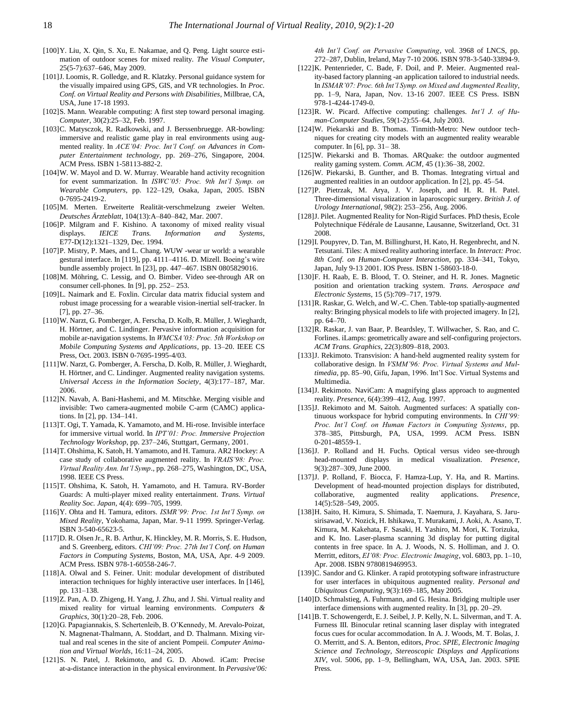- [100]Y. Liu, X. Qin, S. Xu, E. Nakamae, and Q. Peng. Light source estimation of outdoor scenes for mixed reality. *The Visual Computer*, 25(5-7):637–646, May 2009.
- [101]J. Loomis, R. Golledge, and R. Klatzky. Personal guidance system for the visually impaired using GPS, GIS, and VR technologies. In *Proc. Conf. on Virtual Reality and Persons with Disabilities*, Millbrae, CA, USA, June 17-18 1993.
- [102]S. Mann. Wearable computing: A first step toward personal imaging. *Computer*, 30(2):25–32, Feb. 1997.
- [103]C. Matysczok, R. Radkowski, and J. Berssenbruegge. AR-bowling: immersive and realistic game play in real environments using augmented reality. In *ACE'04: Proc. Int'l Conf. on Advances in Computer Entertainment technology*, pp. 269–276, Singapore, 2004. ACM Press. ISBN 1-58113-882-2.
- [104]W. W. Mayol and D. W. Murray. Wearable hand activity recognition for event summarization. In *ISWC'05: Proc. 9th Int'l Symp. on Wearable Computers*, pp. 122–129, Osaka, Japan, 2005. ISBN 0-7695-2419-2.
- [105]M. Merten. Erweiterte Realität-verschmelzung zweier Welten. *Deutsches Ärzteblatt*, 104(13):A–840–842, Mar. 2007.
- [106]P. Milgram and F. Kishino. A taxonomy of mixed reality visual displays. *IEICE Trans. Information and Systems*, E77-D(12):1321–1329, Dec. 1994.
- [107]P. Mistry, P. Maes, and L. Chang. WUW -wear ur world: a wearable gestural interface. In [119], pp. 4111-4116. D. Mizell. Boeing's wire bundle assembly project. In [23], pp. 447–467. ISBN 0805829016.
- [108]M. Möhring, C. Lessig, and O. Bimber. Video see-through AR on consumer cell-phones. In [9], pp. 252– 253.
- [109]L. Naimark and E. Foxlin. Circular data matrix fiducial system and robust image processing for a wearable vision-inertial self-tracker. In [7], pp. 27–36.
- [110]W. Narzt, G. Pomberger, A. Ferscha, D. Kolb, R. Müller, J. Wieghardt, H. Hörtner, and C. Lindinger. Pervasive information acquisition for mobile ar-navigation systems. In *WMCSA'03: Proc. 5th Workshop on Mobile Computing Systems and Applications*, pp. 13–20. IEEE CS Press, Oct. 2003. ISBN 0-7695-1995-4/03.
- [111]W. Narzt, G. Pomberger, A. Ferscha, D. Kolb, R. Müller, J. Wieghardt, H. Hörtner, and C. Lindinger. Augmented reality navigation systems. *Universal Access in the Information Society*, 4(3):177–187, Mar. 2006.
- [112]N. Navab, A. Bani-Hashemi, and M. Mitschke. Merging visible and invisible: Two camera-augmented mobile C-arm (CAMC) applications. In [2], pp. 134–141.
- [113]T. Ogi, T. Yamada, K. Yamamoto, and M. Hi-rose. Invisible interface for immersive virtual world. In *IPT'01: Proc. Immersive Projection Technology Workshop*, pp. 237–246, Stuttgart, Germany, 2001.
- [114]T. Ohshima, K. Satoh, H. Yamamoto, and H. Tamura. AR2 Hockey: A case study of collaborative augmented reality. In *VRAIS'98: Proc. Virtual Reality Ann. Int'l Symp*., pp. 268–275, Washington, DC, USA, 1998. IEEE CS Press.
- [115]T. Ohshima, K. Satoh, H. Yamamoto, and H. Tamura. RV-Border Guards: A multi-player mixed reality entertainment. *Trans. Virtual Reality Soc. Japan*, 4(4): 699–705, 1999.
- [116]Y. Ohta and H. Tamura, editors. *ISMR'99: Proc. 1st Int'l Symp. on Mixed Reality*, Yokohama, Japan, Mar. 9-11 1999. Springer-Verlag. ISBN 3-540-65623-5.
- [117]D. R. Olsen Jr., R. B. Arthur, K. Hinckley, M. R. Morris, S. E. Hudson, and S. Greenberg, editors. *CHI'09: Proc. 27th Int'l Conf. on Human Factors in Computing Systems*, Boston, MA, USA, Apr. 4-9 2009. ACM Press. ISBN 978-1-60558-246-7.
- [118]A. Olwal and S. Feiner. Unit: modular development of distributed interaction techniques for highly interactive user interfaces. In [146], pp. 131–138.
- [119]Z. Pan, A. D. Zhigeng, H. Yang, J. Zhu, and J. Shi. Virtual reality and mixed reality for virtual learning environments. *Computers & Graphics*, 30(1):20–28, Feb. 2006.
- [120]G. Papagiannakis, S. Schertenleib, B. O"Kennedy, M. Arevalo-Poizat, N. Magnenat-Thalmann, A. Stoddart, and D. Thalmann. Mixing virtual and real scenes in the site of ancient Pompeii. *Computer Animation and Virtual Worlds*, 16:11–24, 2005.
- [121]S. N. Patel, J. Rekimoto, and G. D. Abowd. iCam: Precise at-a-distance interaction in the physical environment. In *Pervasive'06:*

*4th Int'l Conf. on Pervasive Computing*, vol. 3968 of LNCS, pp. 272–287, Dublin, Ireland, May 7-10 2006. ISBN 978-3-540-33894-9.

- [122]K. Pentenrieder, C. Bade, F. Doil, and P. Meier. Augmented reality-based factory planning -an application tailored to industrial needs. In *ISMAR'07: Proc. 6th Int'l Symp. on Mixed and Augmented Reality*, pp. 1–9, Nara, Japan, Nov. 13-16 2007. IEEE CS Press. ISBN 978-1-4244-1749-0.
- [123]R. W. Picard. Affective computing: challenges. *Int'l J. of Human-Computer Studies*, 59(1-2):55–64, July 2003.
- [124]W. Piekarski and B. Thomas. Tinmith-Metro: New outdoor techniques for creating city models with an augmented reality wearable computer. In [6], pp. 31– 38.
- [125]W. Piekarski and B. Thomas. ARQuake: the outdoor augmented reality gaming system. *Comm. ACM*, 45 (1):36–38, 2002.
- [126]W. Piekarski, B. Gunther, and B. Thomas. Integrating virtual and augmented realities in an outdoor application. In [2], pp. 45–54.
- [127]P. Pietrzak, M. Arya, J. V. Joseph, and H. R. H. Patel. Three-dimensional visualization in laparoscopic surgery. *British J. of Urology International*, 98(2): 253–256, Aug. 2006.
- [128]J. Pilet. Augmented Reality for Non-Rigid Surfaces. PhD thesis, Ecole Polytechnique Fédérale de Lausanne, Lausanne, Switzerland, Oct. 31 2008.
- [129]I. Poupyrev, D. Tan, M. Billinghurst, H. Kato, H. Regenbrecht, and N. Tetsutani. Tiles: A mixed reality authoring interface. In *Interact: Proc. 8th Conf. on Human-Computer Interaction*, pp. 334–341, Tokyo, Japan, July 9-13 2001. IOS Press. ISBN 1-58603-18-0.
- [130]F. H. Raab, E. B. Blood, T. O. Steiner, and H. R. Jones. Magnetic position and orientation tracking system. *Trans. Aerospace and Electronic Systems*, 15 (5):709–717, 1979.
- [131]R. Raskar, G. Welch, and W.-C. Chen. Table-top spatially-augmented realty: Bringing physical models to life with projected imagery. In [2], pp. 64–70.
- [132]R. Raskar, J. van Baar, P. Beardsley, T. Willwacher, S. Rao, and C. Forlines. iLamps: geometrically aware and self-configuring projectors. *ACM Trans. Graphics*, 22(3):809–818, 2003.
- [133]J. Rekimoto. Transvision: A hand-held augmented reality system for collaborative design. In *VSMM'96: Proc. Virtual Systems and Mul*timedia, pp. 85-90, Gifu, Japan, 1996. Int'l Soc. Virtual Systems and Multimedia.
- [134]J. Rekimoto. NaviCam: A magnifying glass approach to augmented reality. *Presence*, 6(4):399–412, Aug. 1997.
- [135]J. Rekimoto and M. Saitoh. Augmented surfaces: A spatially continuous workspace for hybrid computing environments. In *CHI'99: Proc. Int'l Conf. on Human Factors in Computing Systems*, pp. 378–385, Pittsburgh, PA, USA, 1999. ACM Press. ISBN 0-201-48559-1.
- [136]J. P. Rolland and H. Fuchs. Optical versus video see-through head-mounted displays in medical visualization. *Presence*, 9(3):287–309, June 2000.
- [137]J. P. Rolland, F. Biocca, F. Hamza-Lup, Y. Ha, and R. Martins. Development of head-mounted projection displays for distributed, collaborative, augmented reality applications. *Presence*, 14(5):528–549, 2005.
- [138]H. Saito, H. Kimura, S. Shimada, T. Naemura, J. Kayahara, S. Jarusirisawad, V. Nozick, H. Ishikawa, T. Murakami, J. Aoki, A. Asano, T. Kimura, M. Kakehata, F. Sasaki, H. Yashiro, M. Mori, K. Torizuka, and K. Ino. Laser-plasma scanning 3d display for putting digital contents in free space. In A. J. Woods, N. S. Holliman, and J. O. Merritt, editors, *EI'08: Proc. Electronic Imaging*, vol. 6803, pp. 1–10, Apr. 2008. ISBN 9780819469953.
- [139]C. Sandor and G. Klinker. A rapid prototyping software infrastructure for user interfaces in ubiquitous augmented reality. *Personal and Ubiquitous Computing*, 9(3):169–185, May 2005.
- [140]D. Schmalstieg, A. Fuhrmann, and G. Hesina. Bridging multiple user interface dimensions with augmented reality. In [3], pp. 20–29.
- [141]B. T. Schowengerdt, E. J. Seibel, J. P. Kelly, N. L. Silverman, and T. A. Furness III. Binocular retinal scanning laser display with integrated focus cues for ocular accommodation. In A. J. Woods, M. T. Bolas, J. O. Merritt, and S. A. Benton, editors, *Proc. SPIE, Electronic Imaging Science and Technology, Stereoscopic Displays and Applications XIV*, vol. 5006, pp. 1–9, Bellingham, WA, USA, Jan. 2003. SPIE Press.